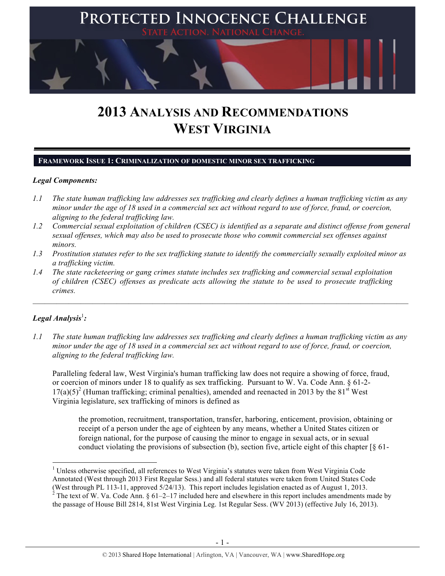

# **2013 ANALYSIS AND RECOMMENDATIONS WEST VIRGINIA**

#### **FRAMEWORK ISSUE 1: CRIMINALIZATION OF DOMESTIC MINOR SEX TRAFFICKING**

#### *Legal Components:*

- *1.1 The state human trafficking law addresses sex trafficking and clearly defines a human trafficking victim as any minor under the age of 18 used in a commercial sex act without regard to use of force, fraud, or coercion, aligning to the federal trafficking law.*
- *1.2 Commercial sexual exploitation of children (CSEC) is identified as a separate and distinct offense from general sexual offenses, which may also be used to prosecute those who commit commercial sex offenses against minors.*
- *1.3 Prostitution statutes refer to the sex trafficking statute to identify the commercially sexually exploited minor as a trafficking victim.*

 $\mathcal{L}_\mathcal{L} = \mathcal{L}_\mathcal{L} = \mathcal{L}_\mathcal{L} = \mathcal{L}_\mathcal{L} = \mathcal{L}_\mathcal{L} = \mathcal{L}_\mathcal{L} = \mathcal{L}_\mathcal{L} = \mathcal{L}_\mathcal{L} = \mathcal{L}_\mathcal{L} = \mathcal{L}_\mathcal{L} = \mathcal{L}_\mathcal{L} = \mathcal{L}_\mathcal{L} = \mathcal{L}_\mathcal{L} = \mathcal{L}_\mathcal{L} = \mathcal{L}_\mathcal{L} = \mathcal{L}_\mathcal{L} = \mathcal{L}_\mathcal{L}$ 

*1.4 The state racketeering or gang crimes statute includes sex trafficking and commercial sexual exploitation of children (CSEC) offenses as predicate acts allowing the statute to be used to prosecute trafficking crimes.* 

# ${\it Legal Analysis}^! \colon$

!!!!!!!!!!!!!!!!!!!!!!!!!!!!!!!!!!!!!!!!!!!!!!!!!!!!!!!!!!!!

*1.1 The state human trafficking law addresses sex trafficking and clearly defines a human trafficking victim as any minor under the age of 18 used in a commercial sex act without regard to use of force, fraud, or coercion, aligning to the federal trafficking law.*

Paralleling federal law, West Virginia's human trafficking law does not require a showing of force, fraud, or coercion of minors under 18 to qualify as sex trafficking. Pursuant to W. Va. Code Ann. § 61-2-  $17(a)(5)^2$  (Human trafficking; criminal penalties), amended and reenacted in 2013 by the 81<sup>st</sup> West Virginia legislature, sex trafficking of minors is defined as

the promotion, recruitment, transportation, transfer, harboring, enticement, provision, obtaining or receipt of a person under the age of eighteen by any means, whether a United States citizen or foreign national, for the purpose of causing the minor to engage in sexual acts, or in sexual conduct violating the provisions of subsection (b), section five, article eight of this chapter [§ 61-

<sup>&</sup>lt;sup>1</sup> Unless otherwise specified, all references to West Virginia's statutes were taken from West Virginia Code Annotated (West through 2013 First Regular Sess.) and all federal statutes were taken from United States Code (West through PL 113-11, approved  $5/24/13$ ). This report includes legislation enacted as of August 1, 2013.<br><sup>2</sup> The text of W. Va. Code Ann. § 61–2–17 included here and elsewhere in this report includes amendments made b the passage of House Bill 2814, 81st West Virginia Leg. 1st Regular Sess. (WV 2013) (effective July 16, 2013).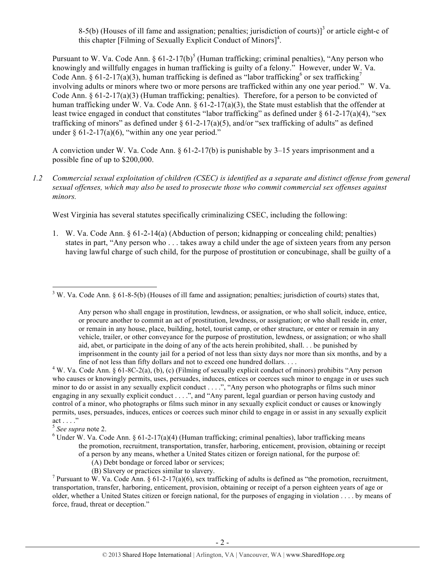8-5(b) (Houses of ill fame and assignation; penalties; jurisdiction of courts)<sup>3</sup> or article eight-c of this chapter [Filming of Sexually Explicit Conduct of Minors]<sup>4</sup>.

Pursuant to W. Va. Code Ann.  $\S 61-2-17(b)^5$  (Human trafficking; criminal penalties), "Any person who knowingly and willfully engages in human trafficking is guilty of a felony." However, under W. Va. Code Ann. § 61-2-17(a)(3), human trafficking is defined as "labor trafficking<sup>6</sup> or sex trafficking<sup>7</sup> involving adults or minors where two or more persons are trafficked within any one year period." W. Va. Code Ann.  $\S 61-2-17(a)(3)$  (Human trafficking; penalties). Therefore, for a person to be convicted of human trafficking under W. Va. Code Ann.  $\S 61-2-17(a)(3)$ , the State must establish that the offender at least twice engaged in conduct that constitutes "labor trafficking" as defined under  $\delta$  61-2-17(a)(4), "sex trafficking of minors" as defined under  $\S$  61-2-17(a)(5), and/or "sex trafficking of adults" as defined under  $\S 61-2-17(a)(6)$ , "within any one year period."

A conviction under W. Va. Code Ann.  $\S 61-2-17(b)$  is punishable by 3-15 years imprisonment and a possible fine of up to \$200,000.

*1.2 Commercial sexual exploitation of children (CSEC) is identified as a separate and distinct offense from general sexual offenses, which may also be used to prosecute those who commit commercial sex offenses against minors.*

West Virginia has several statutes specifically criminalizing CSEC, including the following:

1. W. Va. Code Ann. § 61-2-14(a) (Abduction of person; kidnapping or concealing child; penalties) states in part, "Any person who . . . takes away a child under the age of sixteen years from any person having lawful charge of such child, for the purpose of prostitution or concubinage, shall be guilty of a

- (A) Debt bondage or forced labor or services;
- (B) Slavery or practices similar to slavery.

<sup>7</sup> Pursuant to W. Va. Code Ann. § 61-2-17(a)(6), sex trafficking of adults is defined as "the promotion, recruitment, transportation, transfer, harboring, enticement, provision, obtaining or receipt of a person eighteen years of age or older, whether a United States citizen or foreign national, for the purposes of engaging in violation . . . . by means of force, fraud, threat or deception."

<sup>!!!!!!!!!!!!!!!!!!!!!!!!!!!!!!!!!!!!!!!!!!!!!!!!!!!!!!!!!!!!</sup> <sup>3</sup> W. Va. Code Ann. § 61-8-5(b) (Houses of ill fame and assignation; penalties; jurisdiction of courts) states that,

Any person who shall engage in prostitution, lewdness, or assignation, or who shall solicit, induce, entice, or procure another to commit an act of prostitution, lewdness, or assignation; or who shall reside in, enter, or remain in any house, place, building, hotel, tourist camp, or other structure, or enter or remain in any vehicle, trailer, or other conveyance for the purpose of prostitution, lewdness, or assignation; or who shall aid, abet, or participate in the doing of any of the acts herein prohibited, shall. . . be punished by imprisonment in the county jail for a period of not less than sixty days nor more than six months, and by a fine of not less than fifty dollars and not to exceed one hundred dollars. . . . <sup>4</sup>

<sup>&</sup>lt;sup>4</sup> W. Va. Code Ann. § 61-8C-2(a), (b), (c) (Filming of sexually explicit conduct of minors) prohibits "Any person who causes or knowingly permits, uses, persuades, induces, entices or coerces such minor to engage in or uses such minor to do or assist in any sexually explicit conduct . . . .", "Any person who photographs or films such minor engaging in any sexually explicit conduct . . . .", and "Any parent, legal guardian or person having custody and control of a minor, who photographs or films such minor in any sexually explicit conduct or causes or knowingly permits, uses, persuades, induces, entices or coerces such minor child to engage in or assist in any sexually explicit  $\text{act} \ldots$ ."

<sup>5</sup> *See supra* note 2. <sup>6</sup>

 $6$  Under W. Va. Code Ann. § 61-2-17(a)(4) (Human trafficking; criminal penalties), labor trafficking means the promotion, recruitment, transportation, transfer, harboring, enticement, provision, obtaining or receipt of a person by any means, whether a United States citizen or foreign national, for the purpose of: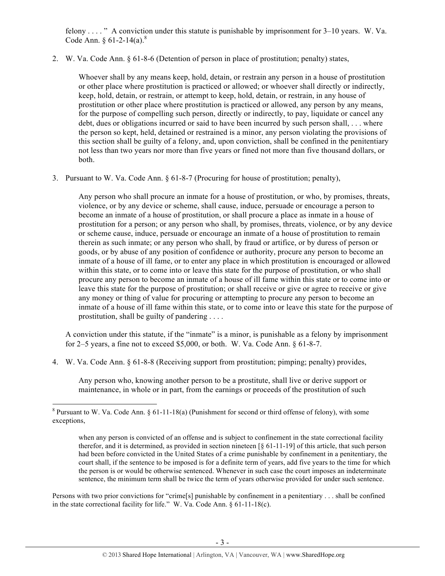felony . . . . " A conviction under this statute is punishable by imprisonment for 3–10 years. W. Va. Code Ann. §  $61-2-14(a)$ .<sup>8</sup>

2. W. Va. Code Ann. § 61-8-6 (Detention of person in place of prostitution; penalty) states,

Whoever shall by any means keep, hold, detain, or restrain any person in a house of prostitution or other place where prostitution is practiced or allowed; or whoever shall directly or indirectly, keep, hold, detain, or restrain, or attempt to keep, hold, detain, or restrain, in any house of prostitution or other place where prostitution is practiced or allowed, any person by any means, for the purpose of compelling such person, directly or indirectly, to pay, liquidate or cancel any debt, dues or obligations incurred or said to have been incurred by such person shall, . . . where the person so kept, held, detained or restrained is a minor, any person violating the provisions of this section shall be guilty of a felony, and, upon conviction, shall be confined in the penitentiary not less than two years nor more than five years or fined not more than five thousand dollars, or both.

3. Pursuant to W. Va. Code Ann. § 61-8-7 (Procuring for house of prostitution; penalty),

Any person who shall procure an inmate for a house of prostitution, or who, by promises, threats, violence, or by any device or scheme, shall cause, induce, persuade or encourage a person to become an inmate of a house of prostitution, or shall procure a place as inmate in a house of prostitution for a person; or any person who shall, by promises, threats, violence, or by any device or scheme cause, induce, persuade or encourage an inmate of a house of prostitution to remain therein as such inmate; or any person who shall, by fraud or artifice, or by duress of person or goods, or by abuse of any position of confidence or authority, procure any person to become an inmate of a house of ill fame, or to enter any place in which prostitution is encouraged or allowed within this state, or to come into or leave this state for the purpose of prostitution, or who shall procure any person to become an inmate of a house of ill fame within this state or to come into or leave this state for the purpose of prostitution; or shall receive or give or agree to receive or give any money or thing of value for procuring or attempting to procure any person to become an inmate of a house of ill fame within this state, or to come into or leave this state for the purpose of prostitution, shall be guilty of pandering . . . .

A conviction under this statute, if the "inmate" is a minor, is punishable as a felony by imprisonment for 2–5 years, a fine not to exceed  $$5,000$ , or both. W. Va. Code Ann.  $§$  61-8-7.

4. W. Va. Code Ann. § 61-8-8 (Receiving support from prostitution; pimping; penalty) provides,

Any person who, knowing another person to be a prostitute, shall live or derive support or maintenance, in whole or in part, from the earnings or proceeds of the prostitution of such

!!!!!!!!!!!!!!!!!!!!!!!!!!!!!!!!!!!!!!!!!!!!!!!!!!!!!!!!!!!!

Persons with two prior convictions for "crime[s] punishable by confinement in a penitentiary . . . shall be confined in the state correctional facility for life." W. Va. Code Ann. § 61-11-18(c).

<sup>&</sup>lt;sup>8</sup> Pursuant to W. Va. Code Ann. § 61-11-18(a) (Punishment for second or third offense of felony), with some exceptions,

when any person is convicted of an offense and is subject to confinement in the state correctional facility therefor, and it is determined, as provided in section nineteen [§ 61-11-19] of this article, that such person had been before convicted in the United States of a crime punishable by confinement in a penitentiary, the court shall, if the sentence to be imposed is for a definite term of years, add five years to the time for which the person is or would be otherwise sentenced. Whenever in such case the court imposes an indeterminate sentence, the minimum term shall be twice the term of years otherwise provided for under such sentence.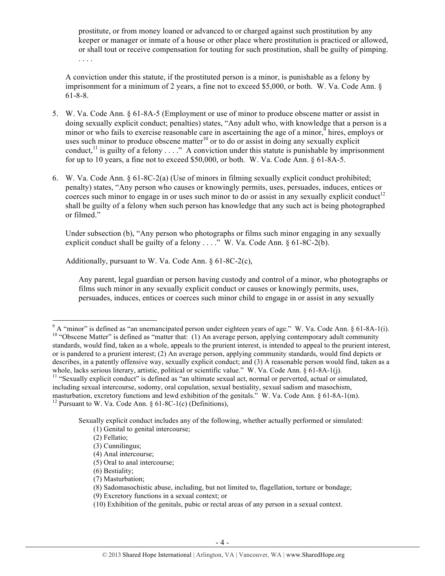prostitute, or from money loaned or advanced to or charged against such prostitution by any keeper or manager or inmate of a house or other place where prostitution is practiced or allowed, or shall tout or receive compensation for touting for such prostitution, shall be guilty of pimping. . . . .

A conviction under this statute, if the prostituted person is a minor, is punishable as a felony by imprisonment for a minimum of 2 years, a fine not to exceed \$5,000, or both. W. Va. Code Ann. § 61-8-8.

- 5. W. Va. Code Ann. § 61-8A-5 (Employment or use of minor to produce obscene matter or assist in doing sexually explicit conduct; penalties) states, "Any adult who, with knowledge that a person is a minor or who fails to exercise reasonable care in ascertaining the age of a minor,  $9$  hires, employs or uses such minor to produce obscene matter<sup>10</sup> or to do or assist in doing any sexually explicit conduct,<sup>11</sup> is guilty of a felony  $\dots$ ." A conviction under this statute is punishable by imprisonment for up to 10 years, a fine not to exceed \$50,000, or both. W. Va. Code Ann. § 61-8A-5.
- 6. W. Va. Code Ann. § 61-8C-2(a) (Use of minors in filming sexually explicit conduct prohibited; penalty) states, "Any person who causes or knowingly permits, uses, persuades, induces, entices or coerces such minor to engage in or uses such minor to do or assist in any sexually explicit conduct<sup>12</sup> shall be guilty of a felony when such person has knowledge that any such act is being photographed or filmed."

Under subsection (b), "Any person who photographs or films such minor engaging in any sexually explicit conduct shall be guilty of a felony  $\dots$ ." W. Va. Code Ann. § 61-8C-2(b).

Additionally, pursuant to W. Va. Code Ann. § 61-8C-2(c),

Any parent, legal guardian or person having custody and control of a minor, who photographs or films such minor in any sexually explicit conduct or causes or knowingly permits, uses, persuades, induces, entices or coerces such minor child to engage in or assist in any sexually

Sexually explicit conduct includes any of the following, whether actually performed or simulated: (1) Genital to genital intercourse;

 $9^9$  A "minor" is defined as "an unemancipated person under eighteen years of age." W. Va. Code Ann. § 61-8A-1(i). <sup>10</sup> "Obscene Matter" is defined as "matter that: (1) An average person, applying contemporary adult community standards, would find, taken as a whole, appeals to the prurient interest, is intended to appeal to the prurient interest, or is pandered to a prurient interest; (2) An average person, applying community standards, would find depicts or describes, in a patently offensive way, sexually explicit conduct; and (3) A reasonable person would find, taken as a whole, lacks serious literary, artistic, political or scientific value." W. Va. Code Ann. § 61-8A-1(j).<br><sup>11</sup> "Sexually explicit conduct" is defined as "an ultimate sexual act, normal or perverted, actual or simulated,

including sexual intercourse, sodomy, oral copulation, sexual bestiality, sexual sadism and masochism, masturbation, excretory functions and lewd exhibition of the genitals." W. Va. Code Ann. § 61-8A-1(m). <sup>12</sup> Pursuant to W. Va. Code Ann. § 61-8C-1(c) (Definitions),

 <sup>(2)</sup> Fellatio;

 <sup>(3)</sup> Cunnilingus;

 <sup>(4)</sup> Anal intercourse;

 <sup>(5)</sup> Oral to anal intercourse;

 <sup>(6)</sup> Bestiality;

 <sup>(7)</sup> Masturbation;

 <sup>(8)</sup> Sadomasochistic abuse, including, but not limited to, flagellation, torture or bondage;

 <sup>(9)</sup> Excretory functions in a sexual context; or

 <sup>(10)</sup> Exhibition of the genitals, pubic or rectal areas of any person in a sexual context.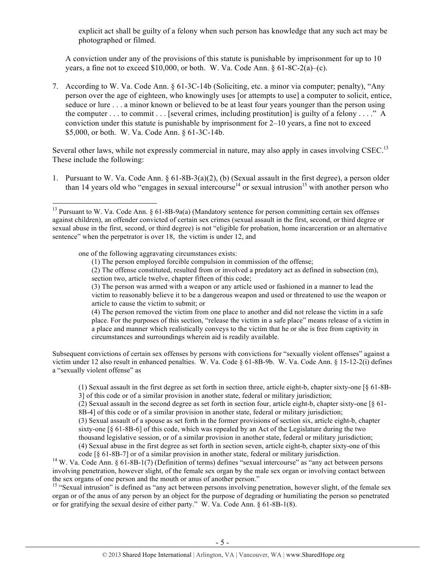explicit act shall be guilty of a felony when such person has knowledge that any such act may be photographed or filmed.

A conviction under any of the provisions of this statute is punishable by imprisonment for up to 10 years, a fine not to exceed \$10,000, or both. W. Va. Code Ann. § 61-8C-2(a)–(c).

7. According to W. Va. Code Ann. § 61-3C-14b (Soliciting, etc. a minor via computer; penalty), "Any person over the age of eighteen, who knowingly uses [or attempts to use] a computer to solicit, entice, seduce or lure . . . a minor known or believed to be at least four years younger than the person using the computer  $\dots$  to commit  $\dots$  [several crimes, including prostitution] is guilty of a felony  $\dots$ ." A conviction under this statute is punishable by imprisonment for 2–10 years, a fine not to exceed \$5,000, or both. W. Va. Code Ann. § 61-3C-14b.

Several other laws, while not expressly commercial in nature, may also apply in cases involving CSEC.<sup>13</sup> These include the following:

1. Pursuant to W. Va. Code Ann. § 61-8B-3(a)(2), (b) (Sexual assault in the first degree), a person older than 14 years old who "engages in sexual intercourse<sup>14</sup> or sexual intrusion<sup>15</sup> with another person who

one of the following aggravating circumstances exists:

!!!!!!!!!!!!!!!!!!!!!!!!!!!!!!!!!!!!!!!!!!!!!!!!!!!!!!!!!!!!

(1) The person employed forcible compulsion in commission of the offense;

(2) The offense constituted, resulted from or involved a predatory act as defined in subsection (m), section two, article twelve, chapter fifteen of this code;

(3) The person was armed with a weapon or any article used or fashioned in a manner to lead the victim to reasonably believe it to be a dangerous weapon and used or threatened to use the weapon or article to cause the victim to submit; or

(4) The person removed the victim from one place to another and did not release the victim in a safe place. For the purposes of this section, "release the victim in a safe place" means release of a victim in a place and manner which realistically conveys to the victim that he or she is free from captivity in circumstances and surroundings wherein aid is readily available.

Subsequent convictions of certain sex offenses by persons with convictions for "sexually violent offenses" against a victim under 12 also result in enhanced penalties. W. Va. Code § 61-8B-9b. W. Va. Code Ann. § 15-12-2(i) defines a "sexually violent offense" as

(1) Sexual assault in the first degree as set forth in section three, article eight-b, chapter sixty-one [§ 61-8B-3] of this code or of a similar provision in another state, federal or military jurisdiction;

(2) Sexual assault in the second degree as set forth in section four, article eight-b, chapter sixty-one [§ 61- 8B-4] of this code or of a similar provision in another state, federal or military jurisdiction;

(3) Sexual assault of a spouse as set forth in the former provisions of section six, article eight-b, chapter sixty-one [§ 61-8B-6] of this code, which was repealed by an Act of the Legislature during the two thousand legislative session, or of a similar provision in another state, federal or military jurisdiction;

(4) Sexual abuse in the first degree as set forth in section seven, article eight-b, chapter sixty-one of this

code [§ 61-8B-7] or of a similar provision in another state, federal or military jurisdiction. 14 W. Va. Code Ann. § 61-8B-1(7) (Definition of terms) defines "sexual intercourse" as "any act between persons involving penetration, however slight, of the female sex organ by the male sex organ or involving contact between the sex organs of one person and the mouth or anus of another person."

<sup>15</sup> "Sexual intrusion" is defined as "any act between persons involving penetration, however slight, of the female sex organ or of the anus of any person by an object for the purpose of degrading or humiliating the person so penetrated or for gratifying the sexual desire of either party." W. Va. Code Ann. § 61-8B-1(8).

<sup>&</sup>lt;sup>13</sup> Pursuant to W. Va. Code Ann. § 61-8B-9a(a) (Mandatory sentence for person committing certain sex offenses against children), an offender convicted of certain sex crimes (sexual assault in the first, second, or third degree or sexual abuse in the first, second, or third degree) is not "eligible for probation, home incarceration or an alternative sentence" when the perpetrator is over 18, the victim is under 12, and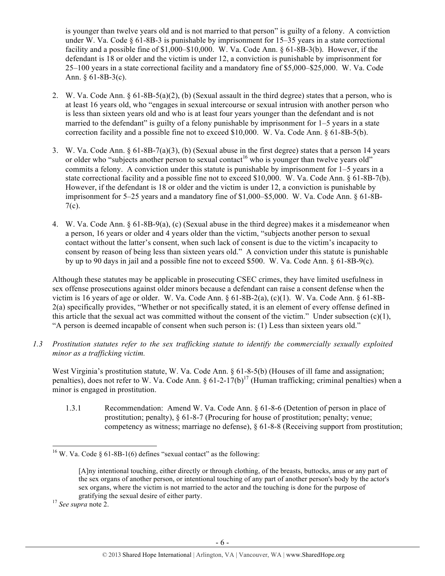is younger than twelve years old and is not married to that person" is guilty of a felony. A conviction under W. Va. Code  $\S 61-8B-3$  is punishable by imprisonment for 15-35 years in a state correctional facility and a possible fine of \$1,000–\$10,000. W. Va. Code Ann. § 61-8B-3(b). However, if the defendant is 18 or older and the victim is under 12, a conviction is punishable by imprisonment for 25–100 years in a state correctional facility and a mandatory fine of \$5,000–\$25,000. W. Va. Code Ann. § 61-8B-3(c).

- 2. W. Va. Code Ann.  $\S 61-8B-5(a)(2)$ , (b) (Sexual assault in the third degree) states that a person, who is at least 16 years old, who "engages in sexual intercourse or sexual intrusion with another person who is less than sixteen years old and who is at least four years younger than the defendant and is not married to the defendant" is guilty of a felony punishable by imprisonment for 1–5 years in a state correction facility and a possible fine not to exceed \$10,000. W. Va. Code Ann. § 61-8B-5(b).
- 3. W. Va. Code Ann. § 61-8B-7(a)(3), (b) (Sexual abuse in the first degree) states that a person 14 years or older who "subjects another person to sexual contact<sup>16</sup> who is younger than twelve years old" commits a felony. A conviction under this statute is punishable by imprisonment for 1–5 years in a state correctional facility and a possible fine not to exceed \$10,000. W. Va. Code Ann. § 61-8B-7(b). However, if the defendant is 18 or older and the victim is under 12, a conviction is punishable by imprisonment for 5–25 years and a mandatory fine of \$1,000–\$5,000. W. Va. Code Ann. § 61-8B- $7(c)$ .
- 4. W. Va. Code Ann. § 61-8B-9(a), (c) (Sexual abuse in the third degree) makes it a misdemeanor when a person, 16 years or older and 4 years older than the victim, "subjects another person to sexual contact without the latter's consent, when such lack of consent is due to the victim's incapacity to consent by reason of being less than sixteen years old." A conviction under this statute is punishable by up to 90 days in jail and a possible fine not to exceed \$500. W. Va. Code Ann. § 61-8B-9(c).

Although these statutes may be applicable in prosecuting CSEC crimes, they have limited usefulness in sex offense prosecutions against older minors because a defendant can raise a consent defense when the victim is 16 years of age or older. W. Va. Code Ann.  $\S$  61-8B-2(a), (c)(1). W. Va. Code Ann.  $\S$  61-8B-2(a) specifically provides, "Whether or not specifically stated, it is an element of every offense defined in this article that the sexual act was committed without the consent of the victim." Under subsection (c)(1), "A person is deemed incapable of consent when such person is: (1) Less than sixteen years old."

*1.3 Prostitution statutes refer to the sex trafficking statute to identify the commercially sexually exploited minor as a trafficking victim.* 

West Virginia's prostitution statute, W. Va. Code Ann. § 61-8-5(b) (Houses of ill fame and assignation; penalties), does not refer to W. Va. Code Ann. §  $61-2-17(b)^{17}$  (Human trafficking; criminal penalties) when a minor is engaged in prostitution.

1.3.1 Recommendation: Amend W. Va. Code Ann. § 61-8-6 (Detention of person in place of prostitution; penalty), § 61-8-7 (Procuring for house of prostitution; penalty; venue; competency as witness; marriage no defense), § 61-8-8 (Receiving support from prostitution;

<sup>&</sup>lt;sup>16</sup> W. Va. Code § 61-8B-1(6) defines "sexual contact" as the following:

<sup>[</sup>A]ny intentional touching, either directly or through clothing, of the breasts, buttocks, anus or any part of the sex organs of another person, or intentional touching of any part of another person's body by the actor's sex organs, where the victim is not married to the actor and the touching is done for the purpose of gratifying the sexual desire of either party. <sup>17</sup> *See supra* note 2.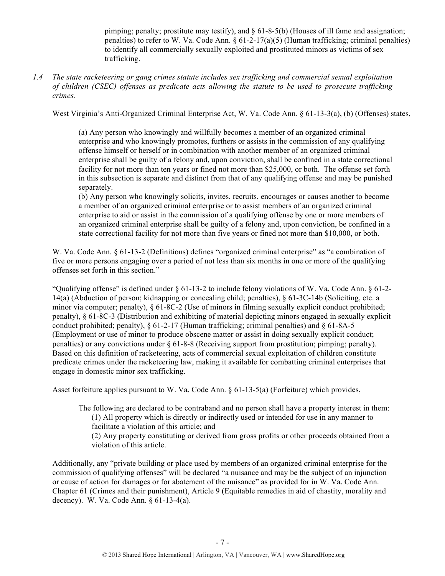pimping; penalty; prostitute may testify), and  $\S$  61-8-5(b) (Houses of ill fame and assignation; penalties) to refer to W. Va. Code Ann. § 61-2-17(a)(5) (Human trafficking; criminal penalties) to identify all commercially sexually exploited and prostituted minors as victims of sex trafficking.

*1.4 The state racketeering or gang crimes statute includes sex trafficking and commercial sexual exploitation of children (CSEC) offenses as predicate acts allowing the statute to be used to prosecute trafficking crimes.* 

West Virginia's Anti-Organized Criminal Enterprise Act, W. Va. Code Ann. § 61-13-3(a), (b) (Offenses) states,

(a) Any person who knowingly and willfully becomes a member of an organized criminal enterprise and who knowingly promotes, furthers or assists in the commission of any qualifying offense himself or herself or in combination with another member of an organized criminal enterprise shall be guilty of a felony and, upon conviction, shall be confined in a state correctional facility for not more than ten years or fined not more than \$25,000, or both. The offense set forth in this subsection is separate and distinct from that of any qualifying offense and may be punished separately.

(b) Any person who knowingly solicits, invites, recruits, encourages or causes another to become a member of an organized criminal enterprise or to assist members of an organized criminal enterprise to aid or assist in the commission of a qualifying offense by one or more members of an organized criminal enterprise shall be guilty of a felony and, upon conviction, be confined in a state correctional facility for not more than five years or fined not more than \$10,000, or both.

W. Va. Code Ann. § 61-13-2 (Definitions) defines "organized criminal enterprise" as "a combination of five or more persons engaging over a period of not less than six months in one or more of the qualifying offenses set forth in this section."

"Qualifying offense" is defined under  $\S 61$ -13-2 to include felony violations of W. Va. Code Ann.  $\S 61$ -2-14(a) (Abduction of person; kidnapping or concealing child; penalties), § 61-3C-14b (Soliciting, etc. a minor via computer; penalty), § 61-8C-2 (Use of minors in filming sexually explicit conduct prohibited; penalty), § 61-8C-3 (Distribution and exhibiting of material depicting minors engaged in sexually explicit conduct prohibited; penalty),  $\S 61-2-17$  (Human trafficking; criminal penalties) and  $\S 61-8A-5$ (Employment or use of minor to produce obscene matter or assist in doing sexually explicit conduct; penalties) or any convictions under § 61-8-8 (Receiving support from prostitution; pimping; penalty). Based on this definition of racketeering, acts of commercial sexual exploitation of children constitute predicate crimes under the racketeering law, making it available for combatting criminal enterprises that engage in domestic minor sex trafficking.

Asset forfeiture applies pursuant to W. Va. Code Ann. § 61-13-5(a) (Forfeiture) which provides,

The following are declared to be contraband and no person shall have a property interest in them: (1) All property which is directly or indirectly used or intended for use in any manner to facilitate a violation of this article; and

(2) Any property constituting or derived from gross profits or other proceeds obtained from a violation of this article.

Additionally, any "private building or place used by members of an organized criminal enterprise for the commission of qualifying offenses" will be declared "a nuisance and may be the subject of an injunction or cause of action for damages or for abatement of the nuisance" as provided for in W. Va. Code Ann. Chapter 61 (Crimes and their punishment), Article 9 (Equitable remedies in aid of chastity, morality and decency). W. Va. Code Ann. § 61-13-4(a).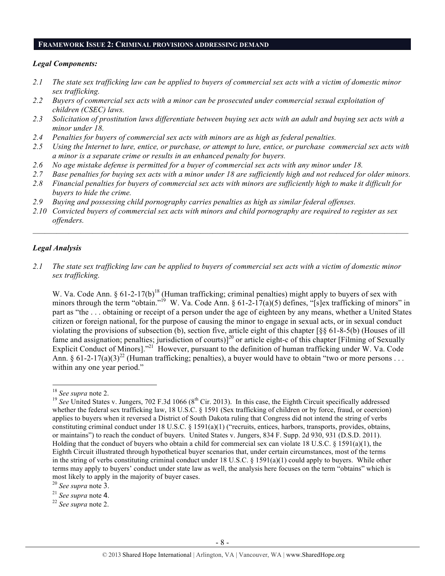#### **FRAMEWORK ISSUE 2: CRIMINAL PROVISIONS ADDRESSING DEMAND**

#### *Legal Components:*

- *2.1 The state sex trafficking law can be applied to buyers of commercial sex acts with a victim of domestic minor sex trafficking.*
- *2.2 Buyers of commercial sex acts with a minor can be prosecuted under commercial sexual exploitation of children (CSEC) laws.*
- *2.3 Solicitation of prostitution laws differentiate between buying sex acts with an adult and buying sex acts with a minor under 18.*
- *2.4 Penalties for buyers of commercial sex acts with minors are as high as federal penalties.*
- *2.5 Using the Internet to lure, entice, or purchase, or attempt to lure, entice, or purchase commercial sex acts with a minor is a separate crime or results in an enhanced penalty for buyers.*
- *2.6 No age mistake defense is permitted for a buyer of commercial sex acts with any minor under 18.*
- *2.7 Base penalties for buying sex acts with a minor under 18 are sufficiently high and not reduced for older minors.*
- *2.8 Financial penalties for buyers of commercial sex acts with minors are sufficiently high to make it difficult for buyers to hide the crime.*
- *2.9 Buying and possessing child pornography carries penalties as high as similar federal offenses.*
- *2.10 Convicted buyers of commercial sex acts with minors and child pornography are required to register as sex offenders.*

 $\mathcal{L}_\mathcal{L} = \mathcal{L}_\mathcal{L} = \mathcal{L}_\mathcal{L} = \mathcal{L}_\mathcal{L} = \mathcal{L}_\mathcal{L} = \mathcal{L}_\mathcal{L} = \mathcal{L}_\mathcal{L} = \mathcal{L}_\mathcal{L} = \mathcal{L}_\mathcal{L} = \mathcal{L}_\mathcal{L} = \mathcal{L}_\mathcal{L} = \mathcal{L}_\mathcal{L} = \mathcal{L}_\mathcal{L} = \mathcal{L}_\mathcal{L} = \mathcal{L}_\mathcal{L} = \mathcal{L}_\mathcal{L} = \mathcal{L}_\mathcal{L}$ 

#### *Legal Analysis*

*2.1 The state sex trafficking law can be applied to buyers of commercial sex acts with a victim of domestic minor sex trafficking.*

W. Va. Code Ann. § 61-2-17(b)<sup>18</sup> (Human trafficking; criminal penalties) might apply to buyers of sex with minors through the term "obtain."<sup>19</sup> W. Va. Code Ann. § 61-2-17(a)(5) defines, "[s]ex trafficking of minors" in part as "the . . . obtaining or receipt of a person under the age of eighteen by any means, whether a United States citizen or foreign national, for the purpose of causing the minor to engage in sexual acts, or in sexual conduct violating the provisions of subsection (b), section five, article eight of this chapter [§§ 61-8-5(b) (Houses of ill fame and assignation; penalties; jurisdiction of courts)]<sup>20</sup> or article eight-c of this chapter [Filming of Sexually Explicit Conduct of Minors]."<sup>21</sup> However, pursuant to the definition of human trafficking under W. Va. Code Ann. § 61-2-17(a)(3)<sup>22</sup> (Human trafficking; penalties), a buyer would have to obtain "two or more persons . . . within any one year period."

<sup>&</sup>lt;sup>18</sup> *See supra* note 2.<br><sup>19</sup> *See* United States v. Jungers, 702 F.3d 1066 (8<sup>th</sup> Cir. 2013). In this case, the Eighth Circuit specifically addressed whether the federal sex trafficking law, 18 U.S.C. § 1591 (Sex trafficking of children or by force, fraud, or coercion) applies to buyers when it reversed a District of South Dakota ruling that Congress did not intend the string of verbs constituting criminal conduct under 18 U.S.C. § 1591(a)(1) ("recruits, entices, harbors, transports, provides, obtains, or maintains") to reach the conduct of buyers. United States v. Jungers, 834 F. Supp. 2d 930, 931 (D.S.D. 2011). Holding that the conduct of buyers who obtain a child for commercial sex can violate 18 U.S.C. § 1591(a)(1), the Eighth Circuit illustrated through hypothetical buyer scenarios that, under certain circumstances, most of the terms in the string of verbs constituting criminal conduct under 18 U.S.C. § 1591(a)(1) could apply to buyers. While other terms may apply to buyers' conduct under state law as well, the analysis here focuses on the term "obtains" which is most likely to apply in the majority of buyer cases. 20 *See supra* note 3.

<sup>21</sup> *See supra* note 4.

<sup>22</sup> *See supra* note 2.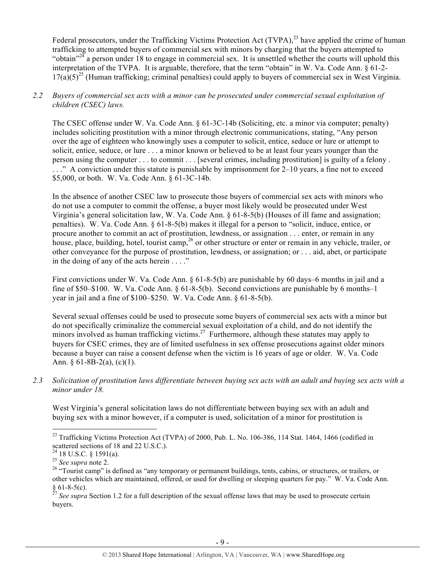Federal prosecutors, under the Trafficking Victims Protection Act  $(TVPA)$ ,<sup>23</sup> have applied the crime of human trafficking to attempted buyers of commercial sex with minors by charging that the buyers attempted to "obtain"<sup>24</sup> a person under 18 to engage in commercial sex. It is unsettled whether the courts will uphold this interpretation of the TVPA. It is arguable, therefore, that the term "obtain" in W. Va. Code Ann. § 61-2-  $17(a)(5)^{25}$  (Human trafficking; criminal penalties) could apply to buyers of commercial sex in West Virginia.

#### *2.2 Buyers of commercial sex acts with a minor can be prosecuted under commercial sexual exploitation of children (CSEC) laws.*

The CSEC offense under W. Va. Code Ann. § 61-3C-14b (Soliciting, etc. a minor via computer; penalty) includes soliciting prostitution with a minor through electronic communications, stating, "Any person over the age of eighteen who knowingly uses a computer to solicit, entice, seduce or lure or attempt to solicit, entice, seduce, or lure . . . a minor known or believed to be at least four years younger than the person using the computer . . . to commit . . . [several crimes, including prostitution] is guilty of a felony . . . ." A conviction under this statute is punishable by imprisonment for 2–10 years, a fine not to exceed \$5,000, or both. W. Va. Code Ann. § 61-3C-14b.

In the absence of another CSEC law to prosecute those buyers of commercial sex acts with minors who do not use a computer to commit the offense, a buyer most likely would be prosecuted under West Virginia's general solicitation law, W. Va. Code Ann. § 61-8-5(b) (Houses of ill fame and assignation; penalties). W. Va. Code Ann. § 61-8-5(b) makes it illegal for a person to "solicit, induce, entice, or procure another to commit an act of prostitution, lewdness, or assignation . . . enter, or remain in any house, place, building, hotel, tourist camp,<sup>26</sup> or other structure or enter or remain in any vehicle, trailer, or other conveyance for the purpose of prostitution, lewdness, or assignation; or . . . aid, abet, or participate in the doing of any of the acts herein . . . ."

First convictions under W. Va. Code Ann. § 61-8-5(b) are punishable by 60 days–6 months in jail and a fine of \$50–\$100. W. Va. Code Ann. § 61-8-5(b). Second convictions are punishable by 6 months–1 year in jail and a fine of \$100–\$250. W. Va. Code Ann. § 61-8-5(b).

Several sexual offenses could be used to prosecute some buyers of commercial sex acts with a minor but do not specifically criminalize the commercial sexual exploitation of a child, and do not identify the minors involved as human trafficking victims.<sup>27</sup> Furthermore, although these statutes may apply to buyers for CSEC crimes, they are of limited usefulness in sex offense prosecutions against older minors because a buyer can raise a consent defense when the victim is 16 years of age or older. W. Va. Code Ann.  $§ 61-8B-2(a), (c)(1).$ 

*2.3 Solicitation of prostitution laws differentiate between buying sex acts with an adult and buying sex acts with a minor under 18.*

West Virginia's general solicitation laws do not differentiate between buying sex with an adult and buying sex with a minor however, if a computer is used, solicitation of a minor for prostitution is

<sup>&</sup>lt;sup>23</sup> Trafficking Victims Protection Act (TVPA) of 2000, Pub. L. No. 106-386, 114 Stat. 1464, 1466 (codified in scattered sections of 18 and 22 U.S.C.).

 $^{24}$  18 U.S.C. § 1591(a).

<sup>&</sup>lt;sup>25</sup> *See supra* note 2. <sup>25</sup> *See supra* note 2. <sup>26</sup> "Tourist camp" is defined as "any temporary or permanent buildings, tents, cabins, or structures, or trailers, or other vehicles which are maintained, offered, or used for dwelling or sleeping quarters for pay." W. Va. Code Ann. § 61-8-5(c). <sup>27</sup> *See supra* Section 1.2 for a full description of the sexual offense laws that may be used to prosecute certain

buyers.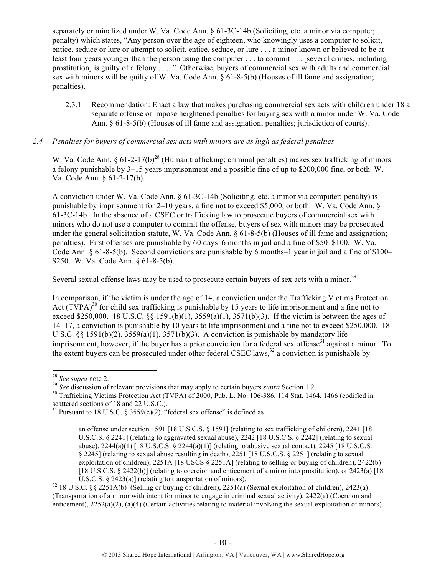separately criminalized under W. Va. Code Ann. § 61-3C-14b (Soliciting, etc. a minor via computer; penalty) which states, "Any person over the age of eighteen, who knowingly uses a computer to solicit, entice, seduce or lure or attempt to solicit, entice, seduce, or lure . . . a minor known or believed to be at least four years younger than the person using the computer . . . to commit . . . [several crimes, including prostitution] is guilty of a felony . . . ." Otherwise, buyers of commercial sex with adults and commercial sex with minors will be guilty of W. Va. Code Ann. § 61-8-5(b) (Houses of ill fame and assignation; penalties).

2.3.1 Recommendation: Enact a law that makes purchasing commercial sex acts with children under 18 a separate offense or impose heightened penalties for buying sex with a minor under W. Va. Code Ann. § 61-8-5(b) (Houses of ill fame and assignation; penalties; jurisdiction of courts).

#### *2.4 Penalties for buyers of commercial sex acts with minors are as high as federal penalties.*

W. Va. Code Ann. §  $61-2-17(b)^{28}$  (Human trafficking; criminal penalties) makes sex trafficking of minors a felony punishable by 3–15 years imprisonment and a possible fine of up to \$200,000 fine, or both. W. Va. Code Ann. § 61-2-17(b).

A conviction under W. Va. Code Ann. § 61-3C-14b (Soliciting, etc. a minor via computer; penalty) is punishable by imprisonment for 2–10 years, a fine not to exceed \$5,000, or both. W. Va. Code Ann. § 61-3C-14b. In the absence of a CSEC or trafficking law to prosecute buyers of commercial sex with minors who do not use a computer to commit the offense, buyers of sex with minors may be prosecuted under the general solicitation statute, W. Va. Code Ann. § 61-8-5(b) (Houses of ill fame and assignation; penalties). First offenses are punishable by 60 days–6 months in jail and a fine of \$50–\$100. W. Va. Code Ann.  $\S 61-8-5(b)$ . Second convictions are punishable by 6 months–1 year in jail and a fine of \$100– \$250. W. Va. Code Ann. § 61-8-5(b).

Several sexual offense laws may be used to prosecute certain buyers of sex acts with a minor.<sup>29</sup>

In comparison, if the victim is under the age of 14, a conviction under the Trafficking Victims Protection Act  $(TVPA)^{30}$  for child sex trafficking is punishable by 15 years to life imprisonment and a fine not to exceed \$250,000. 18 U.S.C. §§ 1591(b)(1), 3559(a)(1), 3571(b)(3). If the victim is between the ages of 14–17, a conviction is punishable by 10 years to life imprisonment and a fine not to exceed \$250,000. 18 U.S.C. §§ 1591(b)(2),  $3559(a)(1)$ ,  $3571(b)(3)$ . A conviction is punishable by mandatory life imprisonment, however, if the buyer has a prior conviction for a federal sex offense $31$  against a minor. To the extent buyers can be prosecuted under other federal CSEC laws.<sup>32</sup> a conviction is punishable by

<sup>&</sup>lt;sup>28</sup> See supra note 2.<br><sup>29</sup> See discussion of relevant provisions that may apply to certain buyers *supra* Section 1.2.<br><sup>30</sup> Trafficking Victims Protection Act (TVPA) of 2000, Pub. L. No. 106-386, 114 Stat. 1464, 1466 (co scattered sections of 18 and 22 U.S.C.).

<sup>&</sup>lt;sup>31</sup> Pursuant to 18 U.S.C. § 3559(e)(2), "federal sex offense" is defined as

an offense under section 1591 [18 U.S.C.S. § 1591] (relating to sex trafficking of children), 2241 [18 U.S.C.S. § 2241] (relating to aggravated sexual abuse), 2242 [18 U.S.C.S. § 2242] (relating to sexual abuse),  $2244(a)(1)$  [18 U.S.C.S. §  $2244(a)(1)$ ] (relating to abusive sexual contact),  $2245$  [18 U.S.C.S. § 2245] (relating to sexual abuse resulting in death), 2251 [18 U.S.C.S. § 2251] (relating to sexual exploitation of children), 2251A [18 USCS  $\S$  2251A] (relating to selling or buying of children), 2422(b) [18 U.S.C.S. § 2422(b)] (relating to coercion and enticement of a minor into prostitution), or 2423(a) [18

U.S.C.S. § 2423(a)] (relating to transportation of minors).<br><sup>32</sup> 18 U.S.C. §§ 2251A(b) (Selling or buying of children), 2251(a) (Sexual exploitation of children), 2423(a) (Transportation of a minor with intent for minor to engage in criminal sexual activity), 2422(a) (Coercion and enticement), 2252(a)(2), (a)(4) (Certain activities relating to material involving the sexual exploitation of minors).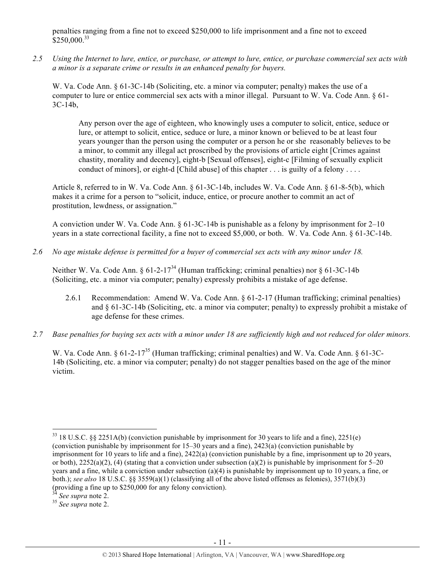penalties ranging from a fine not to exceed \$250,000 to life imprisonment and a fine not to exceed \$250,000.<sup>33</sup>

*2.5 Using the Internet to lure, entice, or purchase, or attempt to lure, entice, or purchase commercial sex acts with a minor is a separate crime or results in an enhanced penalty for buyers.*

W. Va. Code Ann. § 61-3C-14b (Soliciting, etc. a minor via computer; penalty) makes the use of a computer to lure or entice commercial sex acts with a minor illegal. Pursuant to W. Va. Code Ann. § 61- 3C-14b,

Any person over the age of eighteen, who knowingly uses a computer to solicit, entice, seduce or lure, or attempt to solicit, entice, seduce or lure, a minor known or believed to be at least four years younger than the person using the computer or a person he or she reasonably believes to be a minor, to commit any illegal act proscribed by the provisions of article eight [Crimes against chastity, morality and decency], eight-b [Sexual offenses], eight-c [Filming of sexually explicit conduct of minors], or eight-d [Child abuse] of this chapter . . . is guilty of a felony . . . .

Article 8, referred to in W. Va. Code Ann. § 61-3C-14b, includes W. Va. Code Ann. § 61-8-5(b), which makes it a crime for a person to "solicit, induce, entice, or procure another to commit an act of prostitution, lewdness, or assignation."

A conviction under W. Va. Code Ann. § 61-3C-14b is punishable as a felony by imprisonment for 2–10 years in a state correctional facility, a fine not to exceed \$5,000, or both. W. Va. Code Ann. § 61-3C-14b.

*2.6 No age mistake defense is permitted for a buyer of commercial sex acts with any minor under 18.*

Neither W. Va. Code Ann. § 61-2-17<sup>34</sup> (Human trafficking; criminal penalties) nor § 61-3C-14b (Soliciting, etc. a minor via computer; penalty) expressly prohibits a mistake of age defense.

- 2.6.1 Recommendation: Amend W. Va. Code Ann. § 61-2-17 (Human trafficking; criminal penalties) and § 61-3C-14b (Soliciting, etc. a minor via computer; penalty) to expressly prohibit a mistake of age defense for these crimes.
- *2.7 Base penalties for buying sex acts with a minor under 18 are sufficiently high and not reduced for older minors.*

W. Va. Code Ann. § 61-2-17<sup>35</sup> (Human trafficking; criminal penalties) and W. Va. Code Ann. § 61-3C-14b (Soliciting, etc. a minor via computer; penalty) do not stagger penalties based on the age of the minor victim.

<sup>!!!!!!!!!!!!!!!!!!!!!!!!!!!!!!!!!!!!!!!!!!!!!!!!!!!!!!!!!!!!</sup>  $33$  18 U.S.C. §§ 2251A(b) (conviction punishable by imprisonment for 30 years to life and a fine), 2251(e) (conviction punishable by imprisonment for 15–30 years and a fine), 2423(a) (conviction punishable by imprisonment for 10 years to life and a fine), 2422(a) (conviction punishable by a fine, imprisonment up to 20 years, or both),  $2252(a)(2)$ , (4) (stating that a conviction under subsection (a)(2) is punishable by imprisonment for 5–20 years and a fine, while a conviction under subsection (a)(4) is punishable by imprisonment up to 10 years, a fine, or both.); *see also* 18 U.S.C. §§ 3559(a)(1) (classifying all of the above listed offenses as felonies), 3571(b)(3) (providing a fine up to \$250,000 for any felony conviction).

<sup>34</sup> *See supra* note 2. <sup>35</sup> *See supra* note 2.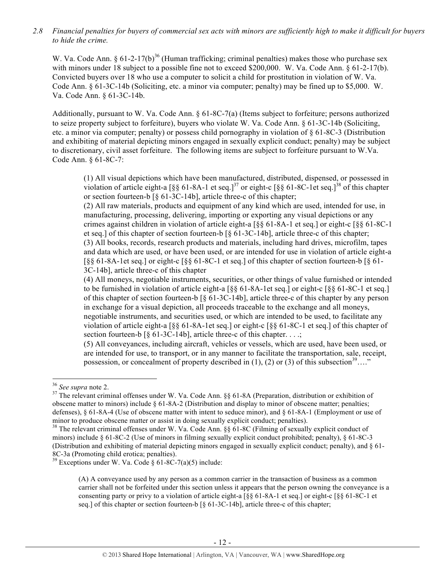*2.8 Financial penalties for buyers of commercial sex acts with minors are sufficiently high to make it difficult for buyers to hide the crime.*

W. Va. Code Ann. §  $61-2-17(b)^{36}$  (Human trafficking; criminal penalties) makes those who purchase sex with minors under 18 subject to a possible fine not to exceed \$200,000. W. Va. Code Ann. § 61-2-17(b). Convicted buyers over 18 who use a computer to solicit a child for prostitution in violation of W. Va. Code Ann. § 61-3C-14b (Soliciting, etc. a minor via computer; penalty) may be fined up to \$5,000. W. Va. Code Ann. § 61-3C-14b.

Additionally, pursuant to W. Va. Code Ann. § 61-8C-7(a) (Items subject to forfeiture; persons authorized to seize property subject to forfeiture), buyers who violate W. Va. Code Ann. § 61-3C-14b (Soliciting, etc. a minor via computer; penalty) or possess child pornography in violation of § 61-8C-3 (Distribution and exhibiting of material depicting minors engaged in sexually explicit conduct; penalty) may be subject to discretionary, civil asset forfeiture. The following items are subject to forfeiture pursuant to W.Va. Code Ann. § 61-8C-7:

(1) All visual depictions which have been manufactured, distributed, dispensed, or possessed in violation of article eight-a  $\left[\S\S\]$  61-8A-1 et seq.]<sup>37</sup> or eight-c  $\left[\S\S\]$  61-8C-1et seq.]<sup>38</sup> of this chapter or section fourteen-b [§ 61-3C-14b], article three-c of this chapter;

(2) All raw materials, products and equipment of any kind which are used, intended for use, in manufacturing, processing, delivering, importing or exporting any visual depictions or any crimes against children in violation of article eight-a [§§ 61-8A-1 et seq.] or eight-c [§§ 61-8C-1 et seq.] of this chapter of section fourteen-b [§ 61-3C-14b], article three-c of this chapter; (3) All books, records, research products and materials, including hard drives, microfilm, tapes and data which are used, or have been used, or are intended for use in violation of article eight-a [§§ 61-8A-1et seq.] or eight-c [§§ 61-8C-1 et seq.] of this chapter of section fourteen-b [§ 61- 3C-14b], article three-c of this chapter

(4) All moneys, negotiable instruments, securities, or other things of value furnished or intended to be furnished in violation of article eight-a  $\lceil \S \S 61-8A-1$  et seq.] or eight-c  $\lceil \S \S 61-8C-1 \rceil$  et seq.] of this chapter of section fourteen-b [§ 61-3C-14b], article three-c of this chapter by any person in exchange for a visual depiction, all proceeds traceable to the exchange and all moneys, negotiable instruments, and securities used, or which are intended to be used, to facilitate any violation of article eight-a [§§ 61-8A-1et seq.] or eight-c [§§ 61-8C-1 et seq.] of this chapter of section fourteen-b  $\lceil \S 61-3C-14b \rceil$ , article three-c of this chapter...;

(5) All conveyances, including aircraft, vehicles or vessels, which are used, have been used, or are intended for use, to transport, or in any manner to facilitate the transportation, sale, receipt, possession, or concealment of property described in (1), (2) or (3) of this subsection<sup>39</sup>…."

<sup>&</sup>lt;sup>36</sup> See supra note 2.<br><sup>37</sup> The relevant criminal offenses under W. Va. Code Ann. §§ 61-8A (Preparation, distribution or exhibition of obscene matter to minors) include § 61-8A-2 (Distribution and display to minor of obscene matter; penalties; defenses), § 61-8A-4 (Use of obscene matter with intent to seduce minor), and § 61-8A-1 (Employment or use of minor to produce obscene matter or assist in doing sexually explicit conduct; penalties).

 $38$  The relevant criminal offenses under W. Va. Code Ann. §§ 61-8C (Filming of sexually explicit conduct of minors) include § 61-8C-2 (Use of minors in filming sexually explicit conduct prohibited; penalty), § 61-8C-3 (Distribution and exhibiting of material depicting minors engaged in sexually explicit conduct; penalty), and § 61- 8C-3a (Promoting child erotica; penalties).<br><sup>39</sup> Exceptions under W. Va. Code § 61-8C-7(a)(5) include:

<sup>(</sup>A) A conveyance used by any person as a common carrier in the transaction of business as a common carrier shall not be forfeited under this section unless it appears that the person owning the conveyance is a consenting party or privy to a violation of article eight-a [§§ 61-8A-1 et seq.] or eight-c [§§ 61-8C-1 et seq.] of this chapter or section fourteen-b [§ 61-3C-14b], article three-c of this chapter;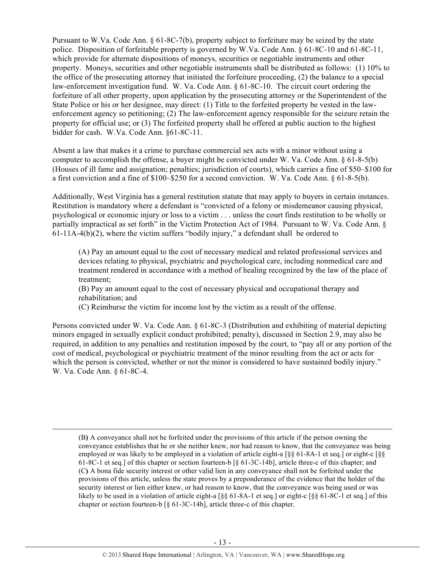Pursuant to W.Va. Code Ann. § 61-8C-7(b), property subject to forfeiture may be seized by the state police. Disposition of forfeitable property is governed by W.Va. Code Ann. § 61-8C-10 and 61-8C-11, which provide for alternate dispositions of moneys, securities or negotiable instruments and other property. Moneys, securities and other negotiable instruments shall be distributed as follows: (1) 10% to the office of the prosecuting attorney that initiated the forfeiture proceeding, (2) the balance to a special law-enforcement investigation fund. W. Va. Code Ann. § 61-8C-10. The circuit court ordering the forfeiture of all other property, upon application by the prosecuting attorney or the Superintendent of the State Police or his or her designee, may direct: (1) Title to the forfeited property be vested in the lawenforcement agency so petitioning; (2) The law-enforcement agency responsible for the seizure retain the property for official use; or (3) The forfeited property shall be offered at public auction to the highest bidder for cash. W.Va. Code Ann. §61-8C-11.

Absent a law that makes it a crime to purchase commercial sex acts with a minor without using a computer to accomplish the offense, a buyer might be convicted under W. Va. Code Ann.  $\S 61-8-5(b)$ (Houses of ill fame and assignation; penalties; jurisdiction of courts), which carries a fine of \$50–\$100 for a first conviction and a fine of \$100–\$250 for a second conviction. W. Va. Code Ann. § 61-8-5(b).

Additionally, West Virginia has a general restitution statute that may apply to buyers in certain instances. Restitution is mandatory where a defendant is "convicted of a felony or misdemeanor causing physical, psychological or economic injury or loss to a victim . . . unless the court finds restitution to be wholly or partially impractical as set forth" in the Victim Protection Act of 1984. Pursuant to W. Va. Code Ann. §  $61-11A-4(b)(2)$ , where the victim suffers "bodily injury," a defendant shall be ordered to

(A) Pay an amount equal to the cost of necessary medical and related professional services and devices relating to physical, psychiatric and psychological care, including nonmedical care and treatment rendered in accordance with a method of healing recognized by the law of the place of treatment;

(B) Pay an amount equal to the cost of necessary physical and occupational therapy and rehabilitation; and

(C) Reimburse the victim for income lost by the victim as a result of the offense.

Persons convicted under W. Va. Code Ann. § 61-8C-3 (Distribution and exhibiting of material depicting minors engaged in sexually explicit conduct prohibited; penalty), discussed in Section 2.9, may also be required, in addition to any penalties and restitution imposed by the court, to "pay all or any portion of the cost of medical, psychological or psychiatric treatment of the minor resulting from the act or acts for which the person is convicted, whether or not the minor is considered to have sustained bodily injury." W. Va. Code Ann. § 61-8C-4.

!!!!!!!!!!!!!!!!!!!!!!!!!!!!!!!!!!!!!!!!!!!!!!!!!!!!!!!!!!!!!!!!!!!!!!!!!!!!!!!!!!!!!!!!!!!!!!!!!!!!!!!!!!!!!!!!!!!!!!!!!!!!!!!!!!!!!!!!!!!!!!!!!!!!!!!!!!!!!!!!!!!!!!!!!!!!!!!!!!!!!!!!!!!!!!!!!!!

(B**)** A conveyance shall not be forfeited under the provisions of this article if the person owning the conveyance establishes that he or she neither knew, nor had reason to know, that the conveyance was being employed or was likely to be employed in a violation of article eight-a [§§ 61-8A-1 et seq.] or eight-c [§§ 61-8C-1 et seq.] of this chapter or section fourteen-b [§ 61-3C-14b], article three-c of this chapter; and (C**)** A bona fide security interest or other valid lien in any conveyance shall not be forfeited under the provisions of this article, unless the state proves by a preponderance of the evidence that the holder of the security interest or lien either knew, or had reason to know, that the conveyance was being used or was likely to be used in a violation of article eight-a [§§ 61-8A-1 et seq.] or eight-c [§§ 61-8C-1 et seq.] of this chapter or section fourteen-b [§ 61-3C-14b], article three-c of this chapter.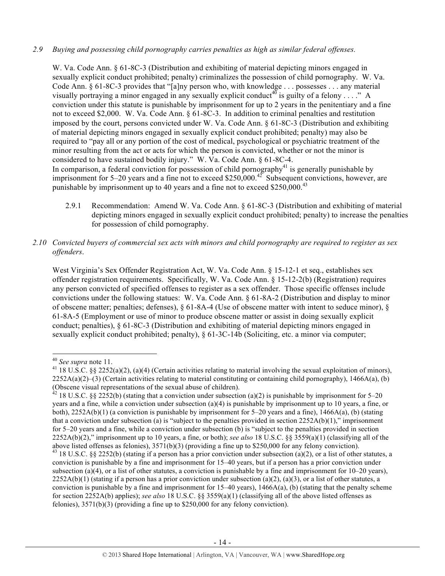#### *2.9 Buying and possessing child pornography carries penalties as high as similar federal offenses.*

punishable by imprisonment up to 40 years and a fine not to exceed  $$250,000.<sup>43</sup>$ 

W. Va. Code Ann. § 61-8C-3 (Distribution and exhibiting of material depicting minors engaged in sexually explicit conduct prohibited; penalty) criminalizes the possession of child pornography. W. Va. Code Ann. § 61-8C-3 provides that "[a]ny person who, with knowledge . . . possesses . . . any material visually portraying a minor engaged in any sexually explicit conduct<sup>40</sup> is guilty of a felony . . . ." A conviction under this statute is punishable by imprisonment for up to 2 years in the penitentiary and a fine not to exceed \$2,000. W. Va. Code Ann. § 61-8C-3. In addition to criminal penalties and restitution imposed by the court, persons convicted under W. Va. Code Ann. § 61-8C-3 (Distribution and exhibiting of material depicting minors engaged in sexually explicit conduct prohibited; penalty) may also be required to "pay all or any portion of the cost of medical, psychological or psychiatric treatment of the minor resulting from the act or acts for which the person is convicted, whether or not the minor is considered to have sustained bodily injury." W. Va. Code Ann. § 61-8C-4. In comparison, a federal conviction for possession of child pornography $^{41}$  is generally punishable by imprisonment for  $5-20$  years and a fine not to exceed \$250,000.<sup>42</sup> Subsequent convictions, however, are

- 2.9.1 Recommendation: Amend W. Va. Code Ann. § 61-8C-3 (Distribution and exhibiting of material depicting minors engaged in sexually explicit conduct prohibited; penalty) to increase the penalties for possession of child pornography.
- *2.10 Convicted buyers of commercial sex acts with minors and child pornography are required to register as sex offenders*.

West Virginia's Sex Offender Registration Act, W. Va. Code Ann. § 15-12-1 et seq., establishes sex offender registration requirements. Specifically, W. Va. Code Ann. § 15-12-2(b) (Registration) requires any person convicted of specified offenses to register as a sex offender. Those specific offenses include convictions under the following statues: W. Va. Code Ann. § 61-8A-2 (Distribution and display to minor of obscene matter; penalties; defenses), § 61-8A-4 (Use of obscene matter with intent to seduce minor), § 61-8A-5 (Employment or use of minor to produce obscene matter or assist in doing sexually explicit conduct; penalties), § 61-8C-3 (Distribution and exhibiting of material depicting minors engaged in sexually explicit conduct prohibited; penalty), § 61-3C-14b (Soliciting, etc. a minor via computer;

<sup>&</sup>lt;sup>40</sup> *See supra* note 11.<br><sup>41</sup> 18 U.S.C. §§ 2252(a)(2), (a)(4) (Certain activities relating to material involving the sexual exploitation of minors),  $2252A(a)(2)$ –(3) (Certain activities relating to material constituting or containing child pornography), 1466A(a), (b) (Obscene visual representations of the sexual abuse of children).<br><sup>42</sup> 18 U.S.C. §§ 2252(b) (stating that a conviction under subsection (a)(2) is punishable by imprisonment for 5–20

years and a fine, while a conviction under subsection (a)(4) is punishable by imprisonment up to 10 years, a fine, or both), 2252A(b)(1) (a conviction is punishable by imprisonment for 5–20 years and a fine), 1466A(a), (b) (stating that a conviction under subsection (a) is "subject to the penalties provided in section  $2252A(b)(1)$ ," imprisonment for 5–20 years and a fine, while a conviction under subsection (b) is "subject to the penalties provided in section 2252A(b)(2)," imprisonment up to 10 years, a fine, or both); *see also* 18 U.S.C. §§ 3559(a)(1) (classifying all of the above listed offenses as felonies),  $3571(b)(3)$  (providing a fine up to \$250,000 for any felony conviction).<br><sup>43</sup> 18 U.S.C. §§ 2252(b) (stating if a person has a prior conviction under subsection (a)(2), or a list of other

conviction is punishable by a fine and imprisonment for 15–40 years, but if a person has a prior conviction under subsection (a)(4), or a list of other statutes, a conviction is punishable by a fine and imprisonment for  $10-20$  years),  $2252A(b)(1)$  (stating if a person has a prior conviction under subsection (a)(2), (a)(3), or a list of other statutes, a conviction is punishable by a fine and imprisonment for  $15-40$  years),  $1466A(a)$ , (b) (stating that the penalty scheme for section 2252A(b) applies); *see also* 18 U.S.C. §§ 3559(a)(1) (classifying all of the above listed offenses as felonies), 3571(b)(3) (providing a fine up to \$250,000 for any felony conviction).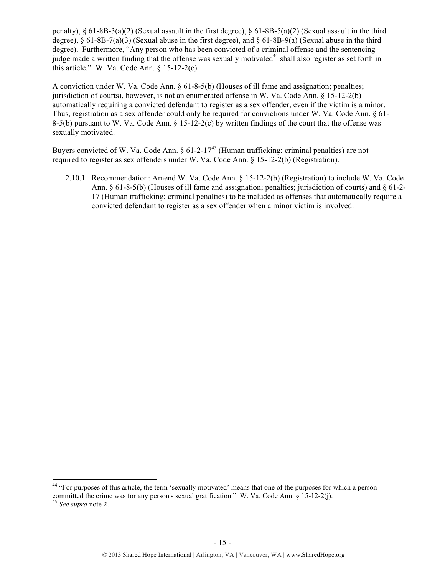penalty), § 61-8B-3(a)(2) (Sexual assault in the first degree), § 61-8B-5(a)(2) (Sexual assault in the third degree), § 61-8B-7(a)(3) (Sexual abuse in the first degree), and § 61-8B-9(a) (Sexual abuse in the third degree). Furthermore, "Any person who has been convicted of a criminal offense and the sentencing judge made a written finding that the offense was sexually motivated<sup>44</sup> shall also register as set forth in this article." W. Va. Code Ann.  $\S$  15-12-2(c).

A conviction under W. Va. Code Ann. § 61-8-5(b) (Houses of ill fame and assignation; penalties; jurisdiction of courts), however, is not an enumerated offense in W. Va. Code Ann. § 15-12-2(b) automatically requiring a convicted defendant to register as a sex offender, even if the victim is a minor. Thus, registration as a sex offender could only be required for convictions under W. Va. Code Ann. § 61- 8-5(b) pursuant to W. Va. Code Ann. § 15-12-2(c) by written findings of the court that the offense was sexually motivated.

Buyers convicted of W. Va. Code Ann. §  $61-2-17^{45}$  (Human trafficking; criminal penalties) are not required to register as sex offenders under W. Va. Code Ann. § 15-12-2(b) (Registration).

2.10.1 Recommendation: Amend W. Va. Code Ann. § 15-12-2(b) (Registration) to include W. Va. Code Ann. § 61-8-5(b) (Houses of ill fame and assignation; penalties; jurisdiction of courts) and § 61-2- 17 (Human trafficking; criminal penalties) to be included as offenses that automatically require a convicted defendant to register as a sex offender when a minor victim is involved.

<sup>&</sup>lt;sup>44</sup> "For purposes of this article, the term 'sexually motivated' means that one of the purposes for which a person committed the crime was for any person's sexual gratification." W. Va. Code Ann. § 15-12-2(j). 45 *See supra* note 2.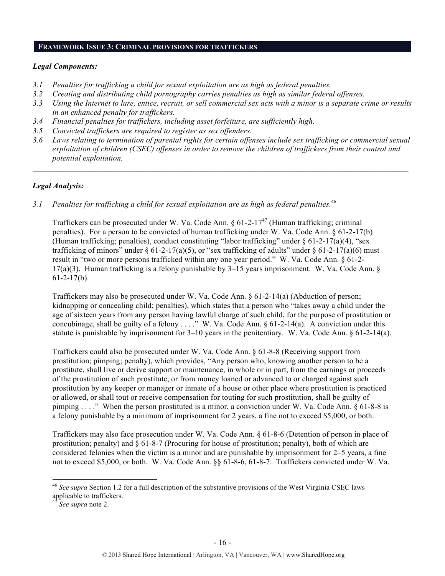#### **FRAMEWORK ISSUE 3: CRIMINAL PROVISIONS FOR TRAFFICKERS**

#### *Legal Components:*

- *3.1 Penalties for trafficking a child for sexual exploitation are as high as federal penalties.*
- *3.2 Creating and distributing child pornography carries penalties as high as similar federal offenses.*
- *3.3 Using the Internet to lure, entice, recruit, or sell commercial sex acts with a minor is a separate crime or results in an enhanced penalty for traffickers.*
- *3.4 Financial penalties for traffickers, including asset forfeiture, are sufficiently high.*
- *3.5 Convicted traffickers are required to register as sex offenders.*
- *3.6 Laws relating to termination of parental rights for certain offenses include sex trafficking or commercial sexual exploitation of children (CSEC) offenses in order to remove the children of traffickers from their control and potential exploitation.*

 $\mathcal{L} = \{ \mathcal{L} \mathcal{L} \mathcal{L} \mathcal{L} \mathcal{L} \mathcal{L} \mathcal{L} \mathcal{L} \mathcal{L} \mathcal{L} \mathcal{L} \mathcal{L} \mathcal{L} \mathcal{L} \mathcal{L} \mathcal{L} \mathcal{L} \mathcal{L} \mathcal{L} \mathcal{L} \mathcal{L} \mathcal{L} \mathcal{L} \mathcal{L} \mathcal{L} \mathcal{L} \mathcal{L} \mathcal{L} \mathcal{L} \mathcal{L} \mathcal{L} \mathcal{L} \mathcal{L} \mathcal{L} \mathcal{L} \$ 

#### *Legal Analysis:*

*3.1 Penalties for trafficking a child for sexual exploitation are as high as federal penalties.*<sup>46</sup>

Traffickers can be prosecuted under W. Va. Code Ann.  $\S 61-2-17^{47}$  (Human trafficking; criminal penalties). For a person to be convicted of human trafficking under W. Va. Code Ann. § 61-2-17(b) (Human trafficking; penalties), conduct constituting "labor trafficking" under  $\S$  61-2-17(a)(4), "sex trafficking of minors" under § 61-2-17(a)(5), or "sex trafficking of adults" under § 61-2-17(a)(6) must result in "two or more persons trafficked within any one year period." W. Va. Code Ann. § 61-2-  $17(a)(3)$ . Human trafficking is a felony punishable by 3–15 years imprisonment. W. Va. Code Ann. §  $61-2-17(b)$ .

Traffickers may also be prosecuted under W. Va. Code Ann. § 61-2-14(a) (Abduction of person; kidnapping or concealing child; penalties), which states that a person who "takes away a child under the age of sixteen years from any person having lawful charge of such child, for the purpose of prostitution or concubinage, shall be guilty of a felony  $\dots$ ." W. Va. Code Ann. § 61-2-14(a). A conviction under this statute is punishable by imprisonment for  $3-10$  years in the penitentiary. W. Va. Code Ann. § 61-2-14(a).

Traffickers could also be prosecuted under W. Va. Code Ann. § 61-8-8 (Receiving support from prostitution; pimping; penalty), which provides, "Any person who, knowing another person to be a prostitute, shall live or derive support or maintenance, in whole or in part, from the earnings or proceeds of the prostitution of such prostitute, or from money loaned or advanced to or charged against such prostitution by any keeper or manager or inmate of a house or other place where prostitution is practiced or allowed, or shall tout or receive compensation for touting for such prostitution, shall be guilty of pimping . . . ." When the person prostituted is a minor, a conviction under W. Va. Code Ann. § 61-8-8 is a felony punishable by a minimum of imprisonment for 2 years, a fine not to exceed \$5,000, or both.

Traffickers may also face prosecution under W. Va. Code Ann. § 61-8-6 (Detention of person in place of prostitution; penalty) and  $\S 61-8-7$  (Procuring for house of prostitution; penalty), both of which are considered felonies when the victim is a minor and are punishable by imprisonment for 2–5 years, a fine not to exceed \$5,000, or both. W. Va. Code Ann. §§ 61-8-6, 61-8-7. Traffickers convicted under W. Va.

<sup>46</sup> *See supra* Section 1.2 for a full description of the substantive provisions of the West Virginia CSEC laws applicable to traffickers.

<sup>47</sup> *See supra* note 2.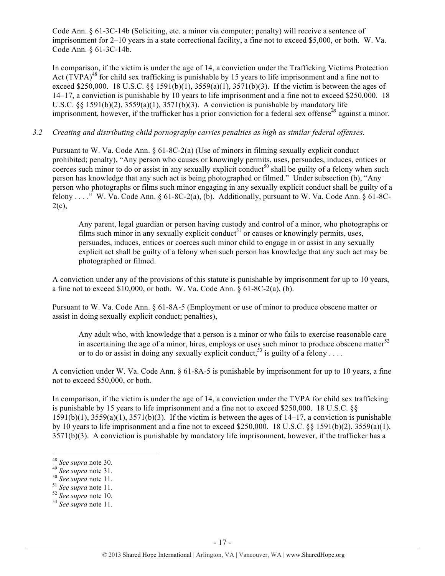Code Ann. § 61-3C-14b (Soliciting, etc. a minor via computer; penalty) will receive a sentence of imprisonment for 2–10 years in a state correctional facility, a fine not to exceed \$5,000, or both. W. Va. Code Ann. § 61-3C-14b.

In comparison, if the victim is under the age of 14, a conviction under the Trafficking Victims Protection Act (TVPA)<sup>48</sup> for child sex trafficking is punishable by 15 years to life imprisonment and a fine not to exceed \$250,000. 18 U.S.C. §§ 1591(b)(1), 3559(a)(1), 3571(b)(3). If the victim is between the ages of 14–17, a conviction is punishable by 10 years to life imprisonment and a fine not to exceed \$250,000. 18 U.S.C.  $\S$ § 1591(b)(2), 3559(a)(1), 3571(b)(3). A conviction is punishable by mandatory life imprisonment, however, if the trafficker has a prior conviction for a federal sex offense $49$  against a minor.

# *3.2 Creating and distributing child pornography carries penalties as high as similar federal offenses*.

Pursuant to W. Va. Code Ann. § 61-8C-2(a) (Use of minors in filming sexually explicit conduct prohibited; penalty), "Any person who causes or knowingly permits, uses, persuades, induces, entices or coerces such minor to do or assist in any sexually explicit conduct<sup>50</sup> shall be guilty of a felony when such person has knowledge that any such act is being photographed or filmed." Under subsection (b), "Any person who photographs or films such minor engaging in any sexually explicit conduct shall be guilty of a felony . . . ." W. Va. Code Ann.  $\S 61-8C-2(a)$ , (b). Additionally, pursuant to W. Va. Code Ann.  $\S 61-8C 2(c)$ ,

Any parent, legal guardian or person having custody and control of a minor, who photographs or films such minor in any sexually explicit conduct<sup>51</sup> or causes or knowingly permits, uses, persuades, induces, entices or coerces such minor child to engage in or assist in any sexually explicit act shall be guilty of a felony when such person has knowledge that any such act may be photographed or filmed.

A conviction under any of the provisions of this statute is punishable by imprisonment for up to 10 years, a fine not to exceed  $$10,000$ , or both. W. Va. Code Ann.  $§ 61-8C-2(a)$ , (b).

Pursuant to W. Va. Code Ann. § 61-8A-5 (Employment or use of minor to produce obscene matter or assist in doing sexually explicit conduct; penalties),

Any adult who, with knowledge that a person is a minor or who fails to exercise reasonable care in ascertaining the age of a minor, hires, employs or uses such minor to produce obscene matter<sup>52</sup> or to do or assist in doing any sexually explicit conduct.<sup>53</sup> is guilty of a felony . . . .

A conviction under W. Va. Code Ann. § 61-8A-5 is punishable by imprisonment for up to 10 years, a fine not to exceed \$50,000, or both.

In comparison, if the victim is under the age of 14, a conviction under the TVPA for child sex trafficking is punishable by 15 years to life imprisonment and a fine not to exceed \$250,000. 18 U.S.C. §§  $1591(b)(1)$ ,  $3559(a)(1)$ ,  $3571(b)(3)$ . If the victim is between the ages of  $14-17$ , a conviction is punishable by 10 years to life imprisonment and a fine not to exceed \$250,000. 18 U.S.C. §§ 1591(b)(2), 3559(a)(1), 3571(b)(3). A conviction is punishable by mandatory life imprisonment, however, if the trafficker has a

<sup>&</sup>lt;sup>48</sup> See supra note 30.

<sup>&</sup>lt;sup>49</sup> *See supra* note 31.<br><sup>50</sup> *See supra* note 11.<br><sup>51</sup> *See supra* note 10.<br><sup>53</sup> *See supra* note 11.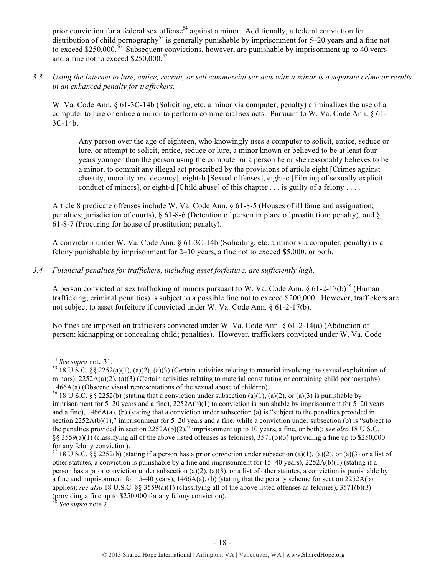prior conviction for a federal sex offense<sup>54</sup> against a minor. Additionally, a federal conviction for distribution of child pornography<sup>55</sup> is generally punishable by imprisonment for  $5-20$  years and a fine not to exceed \$250,000.<sup>56</sup> Subsequent convictions, however, are punishable by imprisonment up to 40 years and a fine not to exceed \$250,000.<sup>57</sup>

*3.3 Using the Internet to lure, entice, recruit, or sell commercial sex acts with a minor is a separate crime or results in an enhanced penalty for traffickers.*

W. Va. Code Ann. § 61-3C-14b (Soliciting, etc. a minor via computer; penalty) criminalizes the use of a computer to lure or entice a minor to perform commercial sex acts. Pursuant to W. Va. Code Ann. § 61- 3C-14b,

Any person over the age of eighteen, who knowingly uses a computer to solicit, entice, seduce or lure, or attempt to solicit, entice, seduce or lure, a minor known or believed to be at least four years younger than the person using the computer or a person he or she reasonably believes to be a minor, to commit any illegal act proscribed by the provisions of article eight [Crimes against chastity, morality and decency], eight-b [Sexual offenses], eight-c [Filming of sexually explicit conduct of minors], or eight-d [Child abuse] of this chapter . . . is guilty of a felony . . . .

Article 8 predicate offenses include W. Va. Code Ann. § 61-8-5 (Houses of ill fame and assignation; penalties; jurisdiction of courts), § 61-8-6 (Detention of person in place of prostitution; penalty), and § 61-8-7 (Procuring for house of prostitution; penalty).

A conviction under W. Va. Code Ann. § 61-3C-14b (Soliciting, etc. a minor via computer; penalty) is a felony punishable by imprisonment for 2–10 years, a fine not to exceed \$5,000, or both.

# *3.4 Financial penalties for traffickers, including asset forfeiture, are sufficiently high*.

A person convicted of sex trafficking of minors pursuant to W. Va. Code Ann.  $\S 61-2-17(b)^{58}$  (Human trafficking; criminal penalties) is subject to a possible fine not to exceed \$200,000. However, traffickers are not subject to asset forfeiture if convicted under W. Va. Code Ann. § 61-2-17(b).

No fines are imposed on traffickers convicted under W. Va. Code Ann. § 61-2-14(a) (Abduction of person; kidnapping or concealing child; penalties). However, traffickers convicted under W. Va. Code

<sup>&</sup>lt;sup>54</sup> See supra note 31.<br><sup>55</sup> 18 U.S.C. §§ 2252(a)(1), (a)(2), (a)(3) (Certain activities relating to material involving the sexual exploitation of minors),  $2252A(a)(2)$ ,  $(a)(3)$  (Certain activities relating to material constituting or containing child pornography), 1466A(a) (Obscene visual representations of the sexual abuse of children).

<sup>&</sup>lt;sup>56</sup> 18 U.S.C. §§ 2252(b) (stating that a conviction under subsection (a)(1), (a)(2), or (a)(3) is punishable by imprisonment for 5–20 years and a fine), 2252A(b)(1) (a conviction is punishable by imprisonment for 5–20 years and a fine), 1466A(a), (b) (stating that a conviction under subsection (a) is "subject to the penalties provided in section 2252A(b)(1)," imprisonment for 5–20 years and a fine, while a conviction under subsection (b) is "subject to the penalties provided in section 2252A(b)(2)," imprisonment up to 10 years, a fine, or both); *see also* 18 U.S.C.  $\S$ § 3559(a)(1) (classifying all of the above listed offenses as felonies), 3571(b)(3) (providing a fine up to \$250,000 for any felony conviction).

<sup>&</sup>lt;sup>57</sup> 18 U.S.C. §§ 2252(b) (stating if a person has a prior conviction under subsection (a)(1), (a)(2), or (a)(3) or a list of other statutes, a conviction is punishable by a fine and imprisonment for  $15-40$  years),  $2252A(b)(1)$  (stating if a person has a prior conviction under subsection (a)(2), (a)(3), or a list of other statutes, a conviction is punishable by a fine and imprisonment for  $15-40$  years),  $1466A(a)$ , (b) (stating that the penalty scheme for section  $2252A(b)$ applies); *see also* 18 U.S.C. §§ 3559(a)(1) (classifying all of the above listed offenses as felonies), 3571(b)(3) (providing a fine up to \$250,000 for any felony conviction). 58 *See supra* note 2.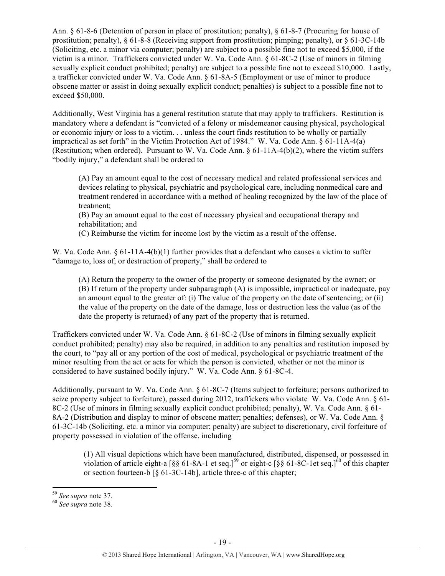Ann. § 61-8-6 (Detention of person in place of prostitution; penalty), § 61-8-7 (Procuring for house of prostitution; penalty), § 61-8-8 (Receiving support from prostitution; pimping; penalty), or § 61-3C-14b (Soliciting, etc. a minor via computer; penalty) are subject to a possible fine not to exceed \$5,000, if the victim is a minor. Traffickers convicted under W. Va. Code Ann. § 61-8C-2 (Use of minors in filming sexually explicit conduct prohibited; penalty) are subject to a possible fine not to exceed \$10,000. Lastly, a trafficker convicted under W. Va. Code Ann. § 61-8A-5 (Employment or use of minor to produce obscene matter or assist in doing sexually explicit conduct; penalties) is subject to a possible fine not to exceed \$50,000.

Additionally, West Virginia has a general restitution statute that may apply to traffickers. Restitution is mandatory where a defendant is "convicted of a felony or misdemeanor causing physical, psychological or economic injury or loss to a victim. . . unless the court finds restitution to be wholly or partially impractical as set forth" in the Victim Protection Act of 1984." W. Va. Code Ann. § 61-11A-4(a) (Restitution; when ordered). Pursuant to W. Va. Code Ann.  $\S 61-11A-4(b)(2)$ , where the victim suffers "bodily injury," a defendant shall be ordered to

(A) Pay an amount equal to the cost of necessary medical and related professional services and devices relating to physical, psychiatric and psychological care, including nonmedical care and treatment rendered in accordance with a method of healing recognized by the law of the place of treatment;

(B) Pay an amount equal to the cost of necessary physical and occupational therapy and rehabilitation; and

(C) Reimburse the victim for income lost by the victim as a result of the offense.

W. Va. Code Ann. § 61-11A-4(b)(1) further provides that a defendant who causes a victim to suffer "damage to, loss of, or destruction of property," shall be ordered to

(A) Return the property to the owner of the property or someone designated by the owner; or (B) If return of the property under subparagraph (A) is impossible, impractical or inadequate, pay an amount equal to the greater of: (i) The value of the property on the date of sentencing; or (ii) the value of the property on the date of the damage, loss or destruction less the value (as of the date the property is returned) of any part of the property that is returned.

Traffickers convicted under W. Va. Code Ann. § 61-8C-2 (Use of minors in filming sexually explicit conduct prohibited; penalty) may also be required, in addition to any penalties and restitution imposed by the court, to "pay all or any portion of the cost of medical, psychological or psychiatric treatment of the minor resulting from the act or acts for which the person is convicted, whether or not the minor is considered to have sustained bodily injury." W. Va. Code Ann. § 61-8C-4.

Additionally, pursuant to W. Va. Code Ann. § 61-8C-7 (Items subject to forfeiture; persons authorized to seize property subject to forfeiture), passed during 2012, traffickers who violate W. Va. Code Ann. § 61- 8C-2 (Use of minors in filming sexually explicit conduct prohibited; penalty), W. Va. Code Ann. § 61- 8A-2 (Distribution and display to minor of obscene matter; penalties; defenses), or W. Va. Code Ann. § 61-3C-14b (Soliciting, etc. a minor via computer; penalty) are subject to discretionary, civil forfeiture of property possessed in violation of the offense, including

(1) All visual depictions which have been manufactured, distributed, dispensed, or possessed in violation of article eight-a [§§ 61-8A-1 et seq.]59 or eight-c [§§ 61-8C-1et seq.]60 of this chapter or section fourteen-b [§ 61-3C-14b], article three-c of this chapter;

<sup>59</sup> *See supra* note 37. 60 *See supra* note 38.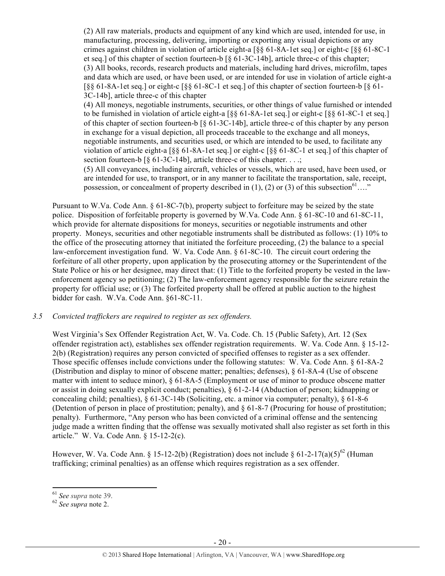(2) All raw materials, products and equipment of any kind which are used, intended for use, in manufacturing, processing, delivering, importing or exporting any visual depictions or any crimes against children in violation of article eight-a [§§ 61-8A-1et seq.] or eight-c [§§ 61-8C-1 et seq.] of this chapter of section fourteen-b [§ 61-3C-14b], article three-c of this chapter; (3) All books, records, research products and materials, including hard drives, microfilm, tapes and data which are used, or have been used, or are intended for use in violation of article eight-a  $\lceil \S \S \S \rceil - 8A - 1$ et seq.] or eight-c  $\lceil \S \S \S \rceil - 8C - 1$  et seq.] of this chapter of section fourteen-b  $\lceil \S \S \rceil - 1$ 3C-14b], article three-c of this chapter

(4) All moneys, negotiable instruments, securities, or other things of value furnished or intended to be furnished in violation of article eight-a [§§ 61-8A-1et seq.] or eight-c [§§ 61-8C-1 et seq.] of this chapter of section fourteen-b [§ 61-3C-14b], article three-c of this chapter by any person in exchange for a visual depiction, all proceeds traceable to the exchange and all moneys, negotiable instruments, and securities used, or which are intended to be used, to facilitate any violation of article eight-a [§§ 61-8A-1et seq.] or eight-c [§§ 61-8C-1 et seq.] of this chapter of section fourteen-b  $\lceil \S 61-3C-14b \rceil$ , article three-c of this chapter. ...;

(5) All conveyances, including aircraft, vehicles or vessels, which are used, have been used, or are intended for use, to transport, or in any manner to facilitate the transportation, sale, receipt, possession, or concealment of property described in (1), (2) or (3) of this subsection<sup>61</sup>…."

Pursuant to W.Va. Code Ann. § 61-8C-7(b), property subject to forfeiture may be seized by the state police. Disposition of forfeitable property is governed by W.Va. Code Ann. § 61-8C-10 and 61-8C-11, which provide for alternate dispositions for moneys, securities or negotiable instruments and other property. Moneys, securities and other negotiable instruments shall be distributed as follows: (1) 10% to the office of the prosecuting attorney that initiated the forfeiture proceeding, (2) the balance to a special law-enforcement investigation fund. W. Va. Code Ann. § 61-8C-10. The circuit court ordering the forfeiture of all other property, upon application by the prosecuting attorney or the Superintendent of the State Police or his or her designee, may direct that: (1) Title to the forfeited property be vested in the lawenforcement agency so petitioning; (2) The law-enforcement agency responsible for the seizure retain the property for official use; or (3) The forfeited property shall be offered at public auction to the highest bidder for cash. W.Va. Code Ann. §61-8C-11.

#### *3.5 Convicted traffickers are required to register as sex offenders.*

West Virginia's Sex Offender Registration Act, W. Va. Code. Ch. 15 (Public Safety), Art. 12 (Sex offender registration act), establishes sex offender registration requirements. W. Va. Code Ann. § 15-12- 2(b) (Registration) requires any person convicted of specified offenses to register as a sex offender. Those specific offenses include convictions under the following statutes: W. Va. Code Ann. § 61-8A-2 (Distribution and display to minor of obscene matter; penalties; defenses), § 61-8A-4 (Use of obscene matter with intent to seduce minor), § 61-8A-5 (Employment or use of minor to produce obscene matter or assist in doing sexually explicit conduct; penalties), § 61-2-14 (Abduction of person; kidnapping or concealing child; penalties), § 61-3C-14b (Soliciting, etc. a minor via computer; penalty), § 61-8-6 (Detention of person in place of prostitution; penalty), and § 61-8-7 (Procuring for house of prostitution; penalty). Furthermore, "Any person who has been convicted of a criminal offense and the sentencing judge made a written finding that the offense was sexually motivated shall also register as set forth in this article." W. Va. Code Ann. § 15-12-2(c).

However, W. Va. Code Ann. § 15-12-2(b) (Registration) does not include § 61-2-17(a)(5)<sup>62</sup> (Human trafficking; criminal penalties) as an offense which requires registration as a sex offender.

 $161$  See supra note 39.

<sup>&</sup>lt;sup>62</sup> See supra note 2.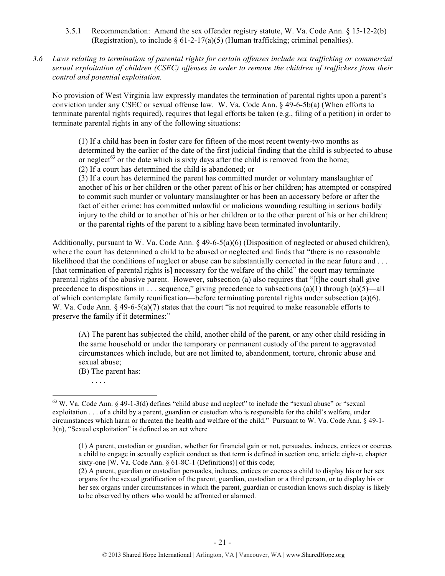- 3.5.1 Recommendation: Amend the sex offender registry statute, W. Va. Code Ann. § 15-12-2(b) (Registration), to include  $\S 61-2-17(a)(5)$  (Human trafficking; criminal penalties).
- *3.6 Laws relating to termination of parental rights for certain offenses include sex trafficking or commercial sexual exploitation of children (CSEC) offenses in order to remove the children of traffickers from their control and potential exploitation.*

No provision of West Virginia law expressly mandates the termination of parental rights upon a parent's conviction under any CSEC or sexual offense law. W. Va. Code Ann. § 49-6-5b(a) (When efforts to terminate parental rights required), requires that legal efforts be taken (e.g., filing of a petition) in order to terminate parental rights in any of the following situations:

(1) If a child has been in foster care for fifteen of the most recent twenty-two months as determined by the earlier of the date of the first judicial finding that the child is subjected to abuse or neglect<sup>63</sup> or the date which is sixty days after the child is removed from the home; (2) If a court has determined the child is abandoned; or

(3) If a court has determined the parent has committed murder or voluntary manslaughter of another of his or her children or the other parent of his or her children; has attempted or conspired to commit such murder or voluntary manslaughter or has been an accessory before or after the fact of either crime; has committed unlawful or malicious wounding resulting in serious bodily injury to the child or to another of his or her children or to the other parent of his or her children; or the parental rights of the parent to a sibling have been terminated involuntarily.

Additionally, pursuant to W. Va. Code Ann. § 49-6-5(a)(6) (Disposition of neglected or abused children), where the court has determined a child to be abused or neglected and finds that "there is no reasonable likelihood that the conditions of neglect or abuse can be substantially corrected in the near future and ... [that termination of parental rights is] necessary for the welfare of the child" the court may terminate parental rights of the abusive parent. However, subsection (a) also requires that "[t]he court shall give precedence to dispositions in . . . sequence," giving precedence to subsections (a)(1) through (a)(5)—all of which contemplate family reunification—before terminating parental rights under subsection (a)(6). W. Va. Code Ann. § 49-6-5(a)(7) states that the court "is not required to make reasonable efforts to preserve the family if it determines:"

(A) The parent has subjected the child, another child of the parent, or any other child residing in the same household or under the temporary or permanent custody of the parent to aggravated circumstances which include, but are not limited to, abandonment, torture, chronic abuse and sexual abuse;

(B) The parent has:

!!!!!!!!!!!!!!!!!!!!!!!!!!!!!!!!!!!!!!!!!!!!!!!!!!!!!!!!!!!!

. . . .

 $63$  W. Va. Code Ann. § 49-1-3(d) defines "child abuse and neglect" to include the "sexual abuse" or "sexual exploitation . . . of a child by a parent, guardian or custodian who is responsible for the child's welfare, under circumstances which harm or threaten the health and welfare of the child." Pursuant to W. Va. Code Ann. § 49-1-  $3(n)$ , "Sexual exploitation" is defined as an act where

<sup>(1)</sup> A parent, custodian or guardian, whether for financial gain or not, persuades, induces, entices or coerces a child to engage in sexually explicit conduct as that term is defined in section one, article eight-c, chapter sixty-one [W. Va. Code Ann. § 61-8C-1 (Definitions)] of this code;

<sup>(2)</sup> A parent, guardian or custodian persuades, induces, entices or coerces a child to display his or her sex organs for the sexual gratification of the parent, guardian, custodian or a third person, or to display his or her sex organs under circumstances in which the parent, guardian or custodian knows such display is likely to be observed by others who would be affronted or alarmed.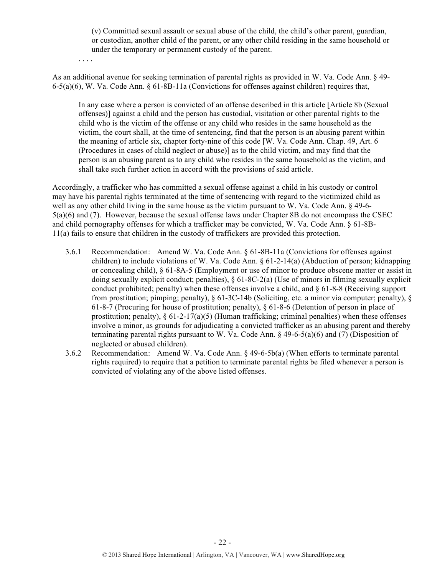(v) Committed sexual assault or sexual abuse of the child, the child's other parent, guardian, or custodian, another child of the parent, or any other child residing in the same household or under the temporary or permanent custody of the parent.

. . . .

As an additional avenue for seeking termination of parental rights as provided in W. Va. Code Ann. § 49- 6-5(a)(6), W. Va. Code Ann. § 61-8B-11a (Convictions for offenses against children) requires that,

In any case where a person is convicted of an offense described in this article [Article 8b (Sexual offenses)] against a child and the person has custodial, visitation or other parental rights to the child who is the victim of the offense or any child who resides in the same household as the victim, the court shall, at the time of sentencing, find that the person is an abusing parent within the meaning of article six, chapter forty-nine of this code [W. Va. Code Ann. Chap. 49, Art. 6 (Procedures in cases of child neglect or abuse)] as to the child victim, and may find that the person is an abusing parent as to any child who resides in the same household as the victim, and shall take such further action in accord with the provisions of said article.

Accordingly, a trafficker who has committed a sexual offense against a child in his custody or control may have his parental rights terminated at the time of sentencing with regard to the victimized child as well as any other child living in the same house as the victim pursuant to W. Va. Code Ann. § 49-6-5(a)(6) and (7). However, because the sexual offense laws under Chapter 8B do not encompass the CSEC and child pornography offenses for which a trafficker may be convicted, W. Va. Code Ann. § 61-8B-11(a) fails to ensure that children in the custody of traffickers are provided this protection.

- 3.6.1 Recommendation: Amend W. Va. Code Ann. § 61-8B-11a (Convictions for offenses against children) to include violations of W. Va. Code Ann. § 61-2-14(a) (Abduction of person; kidnapping or concealing child), § 61-8A-5 (Employment or use of minor to produce obscene matter or assist in doing sexually explicit conduct; penalties), § 61-8C-2(a) (Use of minors in filming sexually explicit conduct prohibited; penalty) when these offenses involve a child, and § 61-8-8 (Receiving support from prostitution; pimping; penalty), § 61-3C-14b (Soliciting, etc. a minor via computer; penalty), § 61-8-7 (Procuring for house of prostitution; penalty), § 61-8-6 (Detention of person in place of prostitution; penalty),  $\S 61-2-17(a)(5)$  (Human trafficking; criminal penalties) when these offenses involve a minor, as grounds for adjudicating a convicted trafficker as an abusing parent and thereby terminating parental rights pursuant to W. Va. Code Ann. § 49-6-5(a)(6) and (7) (Disposition of neglected or abused children).
- 3.6.2 Recommendation: Amend W. Va. Code Ann. § 49-6-5b(a) (When efforts to terminate parental rights required) to require that a petition to terminate parental rights be filed whenever a person is convicted of violating any of the above listed offenses.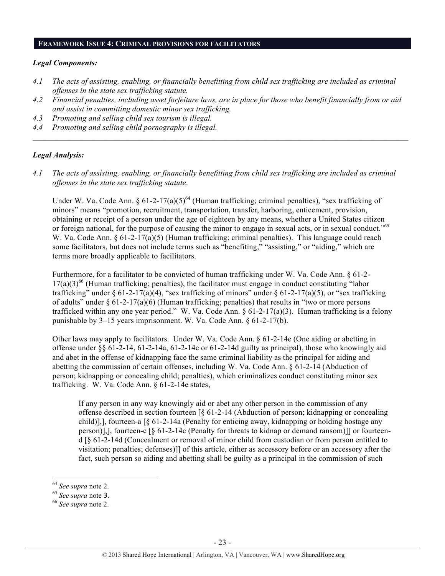#### **FRAMEWORK ISSUE 4: CRIMINAL PROVISIONS FOR FACILITATORS**

#### *Legal Components:*

- *4.1 The acts of assisting, enabling, or financially benefitting from child sex trafficking are included as criminal offenses in the state sex trafficking statute.*
- *4.2 Financial penalties, including asset forfeiture laws, are in place for those who benefit financially from or aid and assist in committing domestic minor sex trafficking.*

 $\mathcal{L} = \{ \mathcal{L} \mathcal{L} \mathcal{L} \mathcal{L} \mathcal{L} \mathcal{L} \mathcal{L} \mathcal{L} \mathcal{L} \mathcal{L} \mathcal{L} \mathcal{L} \mathcal{L} \mathcal{L} \mathcal{L} \mathcal{L} \mathcal{L} \mathcal{L} \mathcal{L} \mathcal{L} \mathcal{L} \mathcal{L} \mathcal{L} \mathcal{L} \mathcal{L} \mathcal{L} \mathcal{L} \mathcal{L} \mathcal{L} \mathcal{L} \mathcal{L} \mathcal{L} \mathcal{L} \mathcal{L} \mathcal{L} \$ 

- *4.3 Promoting and selling child sex tourism is illegal.*
- *4.4 Promoting and selling child pornography is illegal.*

#### *Legal Analysis:*

*4.1 The acts of assisting, enabling, or financially benefitting from child sex trafficking are included as criminal offenses in the state sex trafficking statute*.

Under W. Va. Code Ann. §  $61-2-17(a)(5)^{64}$  (Human trafficking; criminal penalties), "sex trafficking of minors" means "promotion, recruitment, transportation, transfer, harboring, enticement, provision, obtaining or receipt of a person under the age of eighteen by any means, whether a United States citizen or foreign national, for the purpose of causing the minor to engage in sexual acts, or in sexual conduct."<sup>65</sup> W. Va. Code Ann. § 61-2-17(a)(5) (Human trafficking; criminal penalties). This language could reach some facilitators, but does not include terms such as "benefiting," "assisting," or "aiding," which are terms more broadly applicable to facilitators.

Furthermore, for a facilitator to be convicted of human trafficking under W. Va. Code Ann. § 61-2-  $17(a)(3)^{66}$  (Human trafficking; penalties), the facilitator must engage in conduct constituting "labor" trafficking" under § 61-2-17(a)(4), "sex trafficking of minors" under § 61-2-17(a)(5), or "sex trafficking of adults" under  $\S$  61-2-17(a)(6) (Human trafficking; penalties) that results in "two or more persons trafficked within any one year period." W. Va. Code Ann. § 61-2-17(a)(3). Human trafficking is a felony punishable by 3–15 years imprisonment. W. Va. Code Ann. § 61-2-17(b).

Other laws may apply to facilitators. Under W. Va. Code Ann. § 61-2-14e (One aiding or abetting in offense under §§ 61-2-14, 61-2-14a, 61-2-14c or 61-2-14d guilty as principal), those who knowingly aid and abet in the offense of kidnapping face the same criminal liability as the principal for aiding and abetting the commission of certain offenses, including W. Va. Code Ann. § 61-2-14 (Abduction of person; kidnapping or concealing child; penalties), which criminalizes conduct constituting minor sex trafficking. W. Va. Code Ann. § 61-2-14e states,

If any person in any way knowingly aid or abet any other person in the commission of any offense described in section fourteen [§ 61-2-14 (Abduction of person; kidnapping or concealing child)], fourteen-a  $\lceil \xi \cdot 61 - 2 - 14a \rceil$  (Penalty for enticing away, kidnapping or holding hostage any person)],], fourteen-c [§ 61-2-14c (Penalty for threats to kidnap or demand ransom)]] or fourteend [§ 61-2-14d (Concealment or removal of minor child from custodian or from person entitled to visitation; penalties; defenses)]] of this article, either as accessory before or an accessory after the fact, such person so aiding and abetting shall be guilty as a principal in the commission of such

<sup>64</sup> *See supra* note 2.

<sup>65</sup> *See supra* note <sup>3</sup>. 66 *See supra* note 2.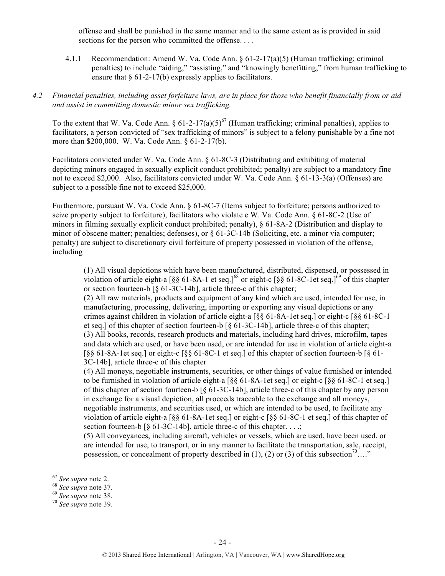offense and shall be punished in the same manner and to the same extent as is provided in said sections for the person who committed the offense....

4.1.1 Recommendation: Amend W. Va. Code Ann. § 61-2-17(a)(5) (Human trafficking; criminal penalties) to include "aiding," "assisting," and "knowingly benefitting," from human trafficking to ensure that  $\delta$  61-2-17(b) expressly applies to facilitators.

#### *4.2 Financial penalties, including asset forfeiture laws, are in place for those who benefit financially from or aid and assist in committing domestic minor sex trafficking.*

To the extent that W. Va. Code Ann. §  $61-2-17(a)(5)^{67}$  (Human trafficking; criminal penalties), applies to facilitators, a person convicted of "sex trafficking of minors" is subject to a felony punishable by a fine not more than \$200,000. W. Va. Code Ann. § 61-2-17(b).

Facilitators convicted under W. Va. Code Ann. § 61-8C-3 (Distributing and exhibiting of material depicting minors engaged in sexually explicit conduct prohibited; penalty) are subject to a mandatory fine not to exceed \$2,000. Also, facilitators convicted under W. Va. Code Ann. § 61-13-3(a) (Offenses) are subject to a possible fine not to exceed \$25,000.

Furthermore, pursuant W. Va. Code Ann. § 61-8C-7 (Items subject to forfeiture; persons authorized to seize property subject to forfeiture), facilitators who violate e W. Va. Code Ann. § 61-8C-2 (Use of minors in filming sexually explicit conduct prohibited; penalty), § 61-8A-2 (Distribution and display to minor of obscene matter; penalties; defenses), or  $\frac{61-3C-14b}{1}$  (Soliciting, etc. a minor via computer; penalty) are subject to discretionary civil forfeiture of property possessed in violation of the offense, including

(1) All visual depictions which have been manufactured, distributed, dispensed, or possessed in violation of article eight-a  $[$ §§ 61-8A-1 et seq.]<sup>68</sup> or eight-c  $[$ §§ 61-8C-1et seq.]<sup>69</sup> of this chapter or section fourteen-b [§ 61-3C-14b], article three-c of this chapter;

(2) All raw materials, products and equipment of any kind which are used, intended for use, in manufacturing, processing, delivering, importing or exporting any visual depictions or any crimes against children in violation of article eight-a [§§ 61-8A-1et seq.] or eight-c [§§ 61-8C-1 et seq.] of this chapter of section fourteen-b [§ 61-3C-14b], article three-c of this chapter; (3) All books, records, research products and materials, including hard drives, microfilm, tapes and data which are used, or have been used, or are intended for use in violation of article eight-a  $\lceil \S \S \S \rceil - 8$ A-1et seq.] or eight-c  $\lceil \S \S \S \rceil - 8$ C-1 et seq.] of this chapter of section fourteen-b  $\lceil \S \S \rceil - 8$ 3C-14b], article three-c of this chapter

(4) All moneys, negotiable instruments, securities, or other things of value furnished or intended to be furnished in violation of article eight-a  $\lceil \S \S 61-8A-1$  et seq.] or eight-c  $\lceil \S \S 61-8C-1 \rceil$  et seq.] of this chapter of section fourteen-b [§ 61-3C-14b], article three-c of this chapter by any person in exchange for a visual depiction, all proceeds traceable to the exchange and all moneys, negotiable instruments, and securities used, or which are intended to be used, to facilitate any violation of article eight-a [§§ 61-8A-1et seq.] or eight-c [§§ 61-8C-1 et seq.] of this chapter of section fourteen-b  $\lbrack \S$  61-3C-14b], article three-c of this chapter. ...;

(5) All conveyances, including aircraft, vehicles or vessels, which are used, have been used, or are intended for use, to transport, or in any manner to facilitate the transportation, sale, receipt, possession, or concealment of property described in (1), (2) or (3) of this subsection<sup>70</sup>…."

<sup>67</sup> *See supra* note 2. <sup>68</sup> *See supra* note 37. 69 *See supra* note 38. <sup>70</sup> *See supra* note 39.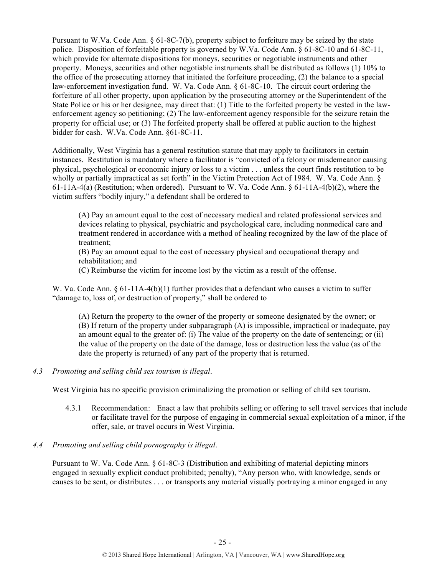Pursuant to W.Va. Code Ann. § 61-8C-7(b), property subject to forfeiture may be seized by the state police. Disposition of forfeitable property is governed by W.Va. Code Ann. § 61-8C-10 and 61-8C-11, which provide for alternate dispositions for moneys, securities or negotiable instruments and other property. Moneys, securities and other negotiable instruments shall be distributed as follows (1) 10% to the office of the prosecuting attorney that initiated the forfeiture proceeding, (2) the balance to a special law-enforcement investigation fund. W. Va. Code Ann. § 61-8C-10. The circuit court ordering the forfeiture of all other property, upon application by the prosecuting attorney or the Superintendent of the State Police or his or her designee, may direct that: (1) Title to the forfeited property be vested in the lawenforcement agency so petitioning; (2) The law-enforcement agency responsible for the seizure retain the property for official use; or (3) The forfeited property shall be offered at public auction to the highest bidder for cash. W.Va. Code Ann. §61-8C-11.

Additionally, West Virginia has a general restitution statute that may apply to facilitators in certain instances. Restitution is mandatory where a facilitator is "convicted of a felony or misdemeanor causing physical, psychological or economic injury or loss to a victim . . . unless the court finds restitution to be wholly or partially impractical as set forth" in the Victim Protection Act of 1984. W. Va. Code Ann. § 61-11A-4(a) (Restitution; when ordered). Pursuant to W. Va. Code Ann. § 61-11A-4(b)(2), where the victim suffers "bodily injury," a defendant shall be ordered to

(A) Pay an amount equal to the cost of necessary medical and related professional services and devices relating to physical, psychiatric and psychological care, including nonmedical care and treatment rendered in accordance with a method of healing recognized by the law of the place of treatment;

(B) Pay an amount equal to the cost of necessary physical and occupational therapy and rehabilitation; and

(C) Reimburse the victim for income lost by the victim as a result of the offense.

W. Va. Code Ann. § 61-11A-4(b)(1) further provides that a defendant who causes a victim to suffer "damage to, loss of, or destruction of property," shall be ordered to

(A) Return the property to the owner of the property or someone designated by the owner; or (B) If return of the property under subparagraph (A) is impossible, impractical or inadequate, pay an amount equal to the greater of: (i) The value of the property on the date of sentencing; or (ii) the value of the property on the date of the damage, loss or destruction less the value (as of the date the property is returned) of any part of the property that is returned.

# *4.3 Promoting and selling child sex tourism is illegal*.

West Virginia has no specific provision criminalizing the promotion or selling of child sex tourism.

- 4.3.1 Recommendation: Enact a law that prohibits selling or offering to sell travel services that include or facilitate travel for the purpose of engaging in commercial sexual exploitation of a minor, if the offer, sale, or travel occurs in West Virginia.
- *4.4 Promoting and selling child pornography is illegal*.

Pursuant to W. Va. Code Ann. § 61-8C-3 (Distribution and exhibiting of material depicting minors engaged in sexually explicit conduct prohibited; penalty), "Any person who, with knowledge, sends or causes to be sent, or distributes . . . or transports any material visually portraying a minor engaged in any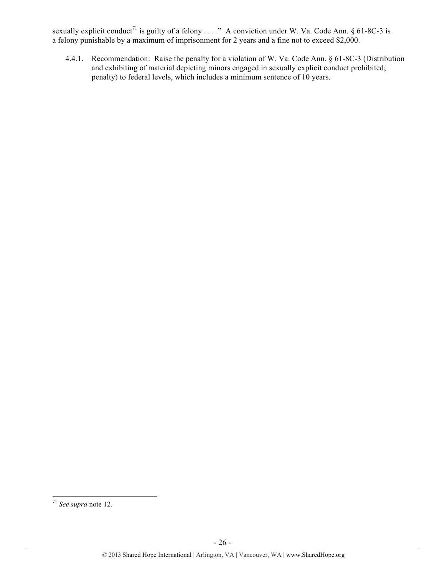sexually explicit conduct<sup>71</sup> is guilty of a felony . . . ." A conviction under W. Va. Code Ann. § 61-8C-3 is a felony punishable by a maximum of imprisonment for 2 years and a fine not to exceed \$2,000.

4.4.1. Recommendation: Raise the penalty for a violation of W. Va. Code Ann. § 61-8C-3 (Distribution and exhibiting of material depicting minors engaged in sexually explicit conduct prohibited; penalty) to federal levels, which includes a minimum sentence of 10 years.

<sup>71</sup> *See supra* note 12.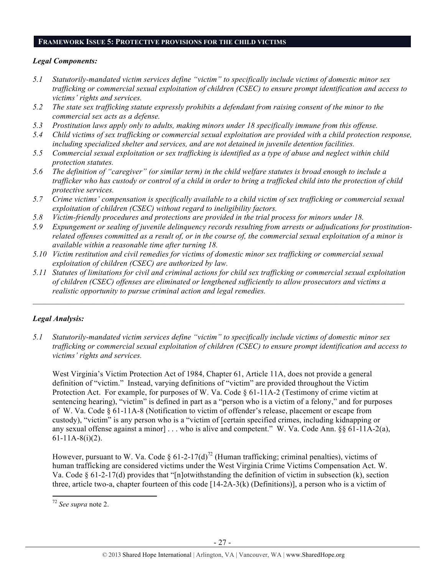#### **FRAMEWORK ISSUE 5: PROTECTIVE PROVISIONS FOR THE CHILD VICTIMS**

#### *Legal Components:*

- *5.1 Statutorily-mandated victim services define "victim" to specifically include victims of domestic minor sex trafficking or commercial sexual exploitation of children (CSEC) to ensure prompt identification and access to victims' rights and services.*
- *5.2 The state sex trafficking statute expressly prohibits a defendant from raising consent of the minor to the commercial sex acts as a defense.*
- *5.3 Prostitution laws apply only to adults, making minors under 18 specifically immune from this offense.*
- *5.4 Child victims of sex trafficking or commercial sexual exploitation are provided with a child protection response, including specialized shelter and services, and are not detained in juvenile detention facilities.*
- *5.5 Commercial sexual exploitation or sex trafficking is identified as a type of abuse and neglect within child protection statutes.*
- *5.6 The definition of "caregiver" (or similar term) in the child welfare statutes is broad enough to include a trafficker who has custody or control of a child in order to bring a trafficked child into the protection of child protective services.*
- *5.7 Crime victims' compensation is specifically available to a child victim of sex trafficking or commercial sexual exploitation of children (CSEC) without regard to ineligibility factors.*
- *5.8 Victim-friendly procedures and protections are provided in the trial process for minors under 18.*
- *5.9 Expungement or sealing of juvenile delinquency records resulting from arrests or adjudications for prostitutionrelated offenses committed as a result of, or in the course of, the commercial sexual exploitation of a minor is available within a reasonable time after turning 18.*
- *5.10 Victim restitution and civil remedies for victims of domestic minor sex trafficking or commercial sexual exploitation of children (CSEC) are authorized by law.*
- *5.11 Statutes of limitations for civil and criminal actions for child sex trafficking or commercial sexual exploitation of children (CSEC) offenses are eliminated or lengthened sufficiently to allow prosecutors and victims a realistic opportunity to pursue criminal action and legal remedies.*

 $\mathcal{L} = \{ \mathcal{L} \mathcal{L} \mathcal{L} \mathcal{L} \mathcal{L} \mathcal{L} \mathcal{L} \mathcal{L} \mathcal{L} \mathcal{L} \mathcal{L} \mathcal{L} \mathcal{L} \mathcal{L} \mathcal{L} \mathcal{L} \mathcal{L} \mathcal{L} \mathcal{L} \mathcal{L} \mathcal{L} \mathcal{L} \mathcal{L} \mathcal{L} \mathcal{L} \mathcal{L} \mathcal{L} \mathcal{L} \mathcal{L} \mathcal{L} \mathcal{L} \mathcal{L} \mathcal{L} \mathcal{L} \mathcal{L} \$ 

# *Legal Analysis:*

*5.1 Statutorily-mandated victim services define "victim" to specifically include victims of domestic minor sex trafficking or commercial sexual exploitation of children (CSEC) to ensure prompt identification and access to victims' rights and services.*

West Virginia's Victim Protection Act of 1984, Chapter 61, Article 11A, does not provide a general definition of "victim." Instead, varying definitions of "victim" are provided throughout the Victim Protection Act. For example, for purposes of W. Va. Code § 61-11A-2 (Testimony of crime victim at sentencing hearing), "victim" is defined in part as a "person who is a victim of a felony," and for purposes of W. Va. Code § 61-11A-8 (Notification to victim of offender's release, placement or escape from custody), "victim" is any person who is a "victim of [certain specified crimes, including kidnapping or any sexual offense against a minor] . . . who is alive and competent." W. Va. Code Ann. §§ 61-11A-2(a),  $61-11A-8(i)(2)$ .

However, pursuant to W. Va. Code §  $61-2-17(d)^{72}$  (Human trafficking; criminal penalties), victims of human trafficking are considered victims under the West Virginia Crime Victims Compensation Act. W. Va. Code § 61-2-17(d) provides that "[n]otwithstanding the definition of victim in subsection (k), section three, article two-a, chapter fourteen of this code  $[14-2A-3(k)$  (Definitions)], a person who is a victim of

<sup>72</sup> *See supra* note 2.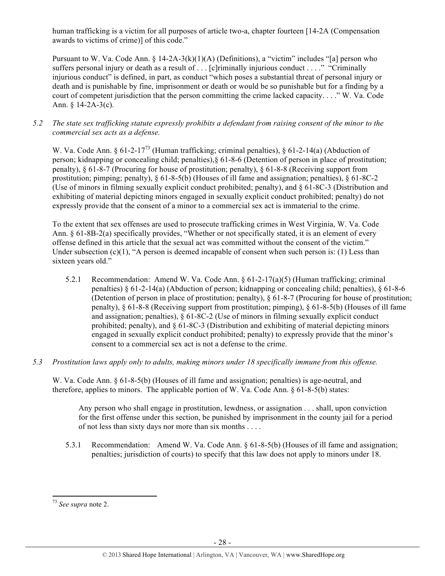human trafficking is a victim for all purposes of article two-a, chapter fourteen [14-2A (Compensation awards to victims of crime)] of this code."

Pursuant to W. Va. Code Ann. § 14-2A-3(k)(1)(A) (Definitions), a "victim" includes "[a] person who suffers personal injury or death as a result of . . . [c]riminally injurious conduct . . . ." "Criminally injurious conduct" is defined, in part, as conduct "which poses a substantial threat of personal injury or death and is punishable by fine, imprisonment or death or would be so punishable but for a finding by a court of competent jurisdiction that the person committing the crime lacked capacity. . . ." W. Va. Code Ann.  $§$  14-2A-3(c).

*5.2 The state sex trafficking statute expressly prohibits a defendant from raising consent of the minor to the commercial sex acts as a defense.*

W. Va. Code Ann. § 61-2-17<sup>73</sup> (Human trafficking; criminal penalties), § 61-2-14(a) (Abduction of person; kidnapping or concealing child; penalties),§ 61-8-6 (Detention of person in place of prostitution; penalty), § 61-8-7 (Procuring for house of prostitution; penalty), § 61-8-8 (Receiving support from prostitution; pimping; penalty), § 61-8-5(b) (Houses of ill fame and assignation; penalties), § 61-8C-2 (Use of minors in filming sexually explicit conduct prohibited; penalty), and § 61-8C-3 (Distribution and exhibiting of material depicting minors engaged in sexually explicit conduct prohibited; penalty) do not expressly provide that the consent of a minor to a commercial sex act is immaterial to the crime.

To the extent that sex offenses are used to prosecute trafficking crimes in West Virginia, W. Va. Code Ann. § 61-8B-2(a) specifically provides, "Whether or not specifically stated, it is an element of every offense defined in this article that the sexual act was committed without the consent of the victim." Under subsection (c)(1), "A person is deemed incapable of consent when such person is: (1) Less than sixteen years old."

- 5.2.1 Recommendation: Amend W. Va. Code Ann. § 61-2-17(a)(5) (Human trafficking; criminal penalties)  $\S 61-2-14(a)$  (Abduction of person; kidnapping or concealing child; penalties),  $\S 61-8-6$ (Detention of person in place of prostitution; penalty), § 61-8-7 (Procuring for house of prostitution; penalty), § 61-8-8 (Receiving support from prostitution; pimping), § 61-8-5(b) (Houses of ill fame and assignation; penalties), § 61-8C-2 (Use of minors in filming sexually explicit conduct prohibited; penalty), and  $\S 61-8C-3$  (Distribution and exhibiting of material depicting minors engaged in sexually explicit conduct prohibited; penalty) to expressly provide that the minor's consent to a commercial sex act is not a defense to the crime.
- *5.3 Prostitution laws apply only to adults, making minors under 18 specifically immune from this offense.*

W. Va. Code Ann. § 61-8-5(b) (Houses of ill fame and assignation; penalties) is age-neutral, and therefore, applies to minors. The applicable portion of W. Va. Code Ann.  $\S 61-8-5(b)$  states:

Any person who shall engage in prostitution, lewdness, or assignation . . . shall, upon conviction for the first offense under this section, be punished by imprisonment in the county jail for a period of not less than sixty days nor more than six months . . . .

5.3.1 Recommendation: Amend W. Va. Code Ann. § 61-8-5(b) (Houses of ill fame and assignation; penalties; jurisdiction of courts) to specify that this law does not apply to minors under 18.

<sup>73</sup> *See supra* note 2.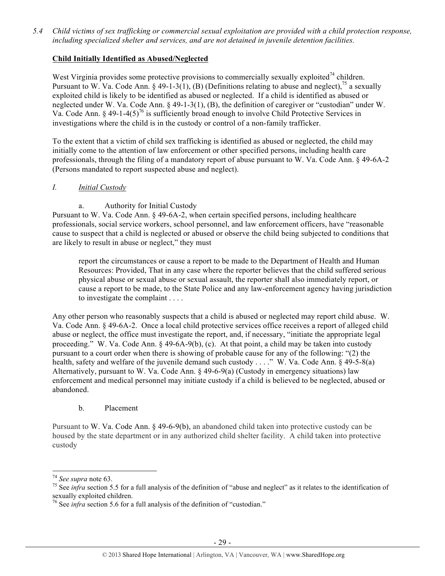*5.4 Child victims of sex trafficking or commercial sexual exploitation are provided with a child protection response, including specialized shelter and services, and are not detained in juvenile detention facilities.*

## **Child Initially Identified as Abused/Neglected**

West Virginia provides some protective provisions to commercially sexually exploited<sup>74</sup> children. Pursuant to W. Va. Code Ann. § 49-1-3(1), (B) (Definitions relating to abuse and neglect),<sup>75</sup> a sexually exploited child is likely to be identified as abused or neglected. If a child is identified as abused or neglected under W. Va. Code Ann. § 49-1-3(1), (B), the definition of caregiver or "custodian" under W. Va. Code Ann. § 49-1-4(5)<sup>76</sup> is sufficiently broad enough to involve Child Protective Services in investigations where the child is in the custody or control of a non-family trafficker.

To the extent that a victim of child sex trafficking is identified as abused or neglected, the child may initially come to the attention of law enforcement or other specified persons, including health care professionals, through the filing of a mandatory report of abuse pursuant to W. Va. Code Ann. § 49-6A-2 (Persons mandated to report suspected abuse and neglect).

#### *I. Initial Custody*

a. Authority for Initial Custody

Pursuant to W. Va. Code Ann. § 49-6A-2, when certain specified persons, including healthcare professionals, social service workers, school personnel, and law enforcement officers, have "reasonable cause to suspect that a child is neglected or abused or observe the child being subjected to conditions that are likely to result in abuse or neglect," they must

report the circumstances or cause a report to be made to the Department of Health and Human Resources: Provided, That in any case where the reporter believes that the child suffered serious physical abuse or sexual abuse or sexual assault, the reporter shall also immediately report, or cause a report to be made, to the State Police and any law-enforcement agency having jurisdiction to investigate the complaint . . . .

Any other person who reasonably suspects that a child is abused or neglected may report child abuse. W. Va. Code Ann. § 49-6A-2. Once a local child protective services office receives a report of alleged child abuse or neglect, the office must investigate the report, and, if necessary, "initiate the appropriate legal proceeding." W. Va. Code Ann. § 49-6A-9(b), (c). At that point, a child may be taken into custody pursuant to a court order when there is showing of probable cause for any of the following: "(2) the health, safety and welfare of the juvenile demand such custody . . . ." W. Va. Code Ann. § 49-5-8(a) Alternatively, pursuant to W. Va. Code Ann. § 49-6-9(a) (Custody in emergency situations) law enforcement and medical personnel may initiate custody if a child is believed to be neglected, abused or abandoned.

# b. Placement

!!!!!!!!!!!!!!!!!!!!!!!!!!!!!!!!!!!!!!!!!!!!!!!!!!!!!!!!!!!!

Pursuant to W. Va. Code Ann. § 49-6-9(b), an abandoned child taken into protective custody can be housed by the state department or in any authorized child shelter facility. A child taken into protective custody

<sup>&</sup>lt;sup>74</sup> See supra note 63.<br><sup>75</sup> See *infra* section 5.5 for a full analysis of the definition of "abuse and neglect" as it relates to the identification of sexually exploited children.

<sup>&</sup>lt;sup>76</sup> See *infra* section 5.6 for a full analysis of the definition of "custodian."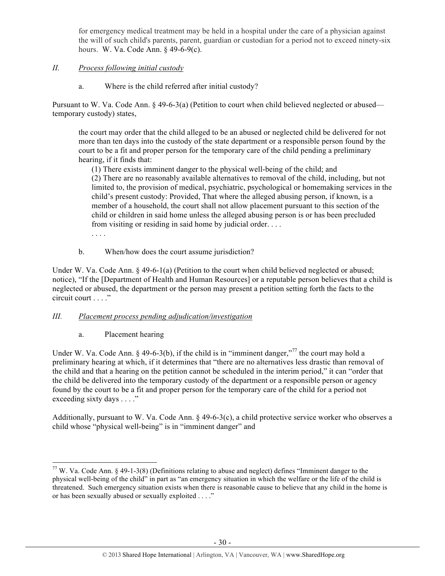for emergency medical treatment may be held in a hospital under the care of a physician against the will of such child's parents, parent, guardian or custodian for a period not to exceed ninety-six hours. W. Va. Code Ann. § 49-6-9(c).

## *II. Process following initial custody*

a. Where is the child referred after initial custody?

Pursuant to W. Va. Code Ann. § 49-6-3(a) (Petition to court when child believed neglected or abused temporary custody) states,

the court may order that the child alleged to be an abused or neglected child be delivered for not more than ten days into the custody of the state department or a responsible person found by the court to be a fit and proper person for the temporary care of the child pending a preliminary hearing, if it finds that:

(1) There exists imminent danger to the physical well-being of the child; and (2) There are no reasonably available alternatives to removal of the child, including, but not limited to, the provision of medical, psychiatric, psychological or homemaking services in the child's present custody: Provided, That where the alleged abusing person, if known, is a member of a household, the court shall not allow placement pursuant to this section of the child or children in said home unless the alleged abusing person is or has been precluded from visiting or residing in said home by judicial order. . . . . . . .

b. When/how does the court assume jurisdiction?

Under W. Va. Code Ann. § 49-6-1(a) (Petition to the court when child believed neglected or abused; notice), "If the [Department of Health and Human Resources] or a reputable person believes that a child is neglected or abused, the department or the person may present a petition setting forth the facts to the circuit court . . . ."

#### *III. Placement process pending adjudication/investigation*

a. Placement hearing

!!!!!!!!!!!!!!!!!!!!!!!!!!!!!!!!!!!!!!!!!!!!!!!!!!!!!!!!!!!!

Under W. Va. Code Ann. § 49-6-3(b), if the child is in "imminent danger,"<sup>77</sup> the court may hold a preliminary hearing at which, if it determines that "there are no alternatives less drastic than removal of the child and that a hearing on the petition cannot be scheduled in the interim period," it can "order that the child be delivered into the temporary custody of the department or a responsible person or agency found by the court to be a fit and proper person for the temporary care of the child for a period not exceeding sixty days . . . ."

Additionally, pursuant to W. Va. Code Ann. § 49-6-3(c), a child protective service worker who observes a child whose "physical well-being" is in "imminent danger" and

<sup>77</sup> W. Va. Code Ann. § 49-1-3(8) (Definitions relating to abuse and neglect) defines "Imminent danger to the physical well-being of the child" in part as "an emergency situation in which the welfare or the life of the child is threatened. Such emergency situation exists when there is reasonable cause to believe that any child in the home is or has been sexually abused or sexually exploited . . . ."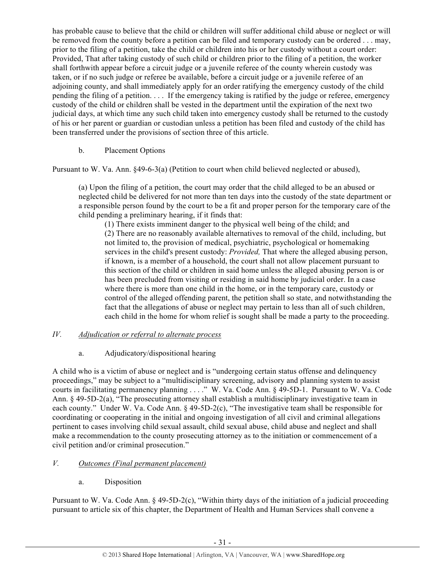has probable cause to believe that the child or children will suffer additional child abuse or neglect or will be removed from the county before a petition can be filed and temporary custody can be ordered . . . may, prior to the filing of a petition, take the child or children into his or her custody without a court order: Provided, That after taking custody of such child or children prior to the filing of a petition, the worker shall forthwith appear before a circuit judge or a juvenile referee of the county wherein custody was taken, or if no such judge or referee be available, before a circuit judge or a juvenile referee of an adjoining county, and shall immediately apply for an order ratifying the emergency custody of the child pending the filing of a petition. . . . If the emergency taking is ratified by the judge or referee, emergency custody of the child or children shall be vested in the department until the expiration of the next two judicial days, at which time any such child taken into emergency custody shall be returned to the custody of his or her parent or guardian or custodian unless a petition has been filed and custody of the child has been transferred under the provisions of section three of this article.

# b. Placement Options

Pursuant to W. Va. Ann. §49-6-3(a) (Petition to court when child believed neglected or abused),

(a) Upon the filing of a petition, the court may order that the child alleged to be an abused or neglected child be delivered for not more than ten days into the custody of the state department or a responsible person found by the court to be a fit and proper person for the temporary care of the child pending a preliminary hearing, if it finds that:

(1) There exists imminent danger to the physical well being of the child; and (2) There are no reasonably available alternatives to removal of the child, including, but not limited to, the provision of medical, psychiatric, psychological or homemaking services in the child's present custody: *Provided,* That where the alleged abusing person, if known, is a member of a household, the court shall not allow placement pursuant to this section of the child or children in said home unless the alleged abusing person is or has been precluded from visiting or residing in said home by judicial order. In a case where there is more than one child in the home, or in the temporary care, custody or control of the alleged offending parent, the petition shall so state, and notwithstanding the fact that the allegations of abuse or neglect may pertain to less than all of such children, each child in the home for whom relief is sought shall be made a party to the proceeding.

# *IV. Adjudication or referral to alternate process*

# a. Adjudicatory/dispositional hearing

A child who is a victim of abuse or neglect and is "undergoing certain status offense and delinquency proceedings," may be subject to a "multidisciplinary screening, advisory and planning system to assist courts in facilitating permanency planning . . . . " W. Va. Code Ann. § 49-5D-1. Pursuant to W. Va. Code Ann. § 49-5D-2(a), "The prosecuting attorney shall establish a multidisciplinary investigative team in each county." Under W. Va. Code Ann. § 49-5D-2(c), "The investigative team shall be responsible for coordinating or cooperating in the initial and ongoing investigation of all civil and criminal allegations pertinent to cases involving child sexual assault, child sexual abuse, child abuse and neglect and shall make a recommendation to the county prosecuting attorney as to the initiation or commencement of a civil petition and/or criminal prosecution."

# *V. Outcomes (Final permanent placement)*

a. Disposition

Pursuant to W. Va. Code Ann. § 49-5D-2(c), "Within thirty days of the initiation of a judicial proceeding pursuant to article six of this chapter, the Department of Health and Human Services shall convene a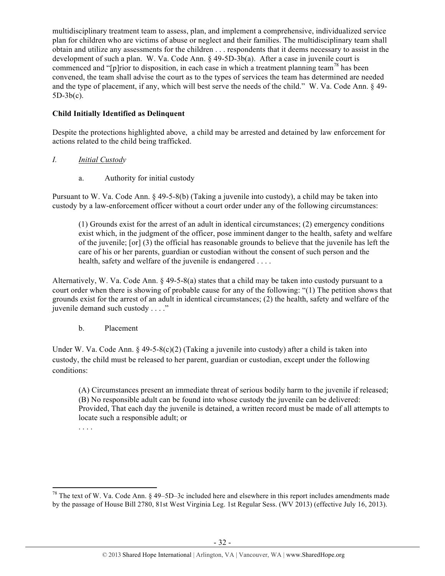multidisciplinary treatment team to assess, plan, and implement a comprehensive, individualized service plan for children who are victims of abuse or neglect and their families. The multidisciplinary team shall obtain and utilize any assessments for the children . . . respondents that it deems necessary to assist in the development of such a plan. W. Va. Code Ann. § 49-5D-3b(a). After a case in juvenile court is commenced and "[p]rior to disposition, in each case in which a treatment planning team<sup>78</sup> has been convened, the team shall advise the court as to the types of services the team has determined are needed and the type of placement, if any, which will best serve the needs of the child." W. Va. Code Ann. § 49- 5D-3b(c).

# **Child Initially Identified as Delinquent**

Despite the protections highlighted above, a child may be arrested and detained by law enforcement for actions related to the child being trafficked.

- *I. Initial Custody*
	- a. Authority for initial custody

Pursuant to W. Va. Code Ann. § 49-5-8(b) (Taking a juvenile into custody), a child may be taken into custody by a law-enforcement officer without a court order under any of the following circumstances:

(1) Grounds exist for the arrest of an adult in identical circumstances; (2) emergency conditions exist which, in the judgment of the officer, pose imminent danger to the health, safety and welfare of the juvenile; [or] (3) the official has reasonable grounds to believe that the juvenile has left the care of his or her parents, guardian or custodian without the consent of such person and the health, safety and welfare of the juvenile is endangered . . . .

Alternatively, W. Va. Code Ann. § 49-5-8(a) states that a child may be taken into custody pursuant to a court order when there is showing of probable cause for any of the following: "(1) The petition shows that grounds exist for the arrest of an adult in identical circumstances; (2) the health, safety and welfare of the juvenile demand such custody . . . ."

b. Placement

Under W. Va. Code Ann. § 49-5-8(c)(2) (Taking a juvenile into custody) after a child is taken into custody, the child must be released to her parent, guardian or custodian, except under the following conditions:

(A) Circumstances present an immediate threat of serious bodily harm to the juvenile if released; (B) No responsible adult can be found into whose custody the juvenile can be delivered: Provided, That each day the juvenile is detained, a written record must be made of all attempts to locate such a responsible adult; or . . . .

<sup>!!!!!!!!!!!!!!!!!!!!!!!!!!!!!!!!!!!!!!!!!!!!!!!!!!!!!!!!!!!!</sup> <sup>78</sup> The text of W. Va. Code Ann. § 49–5D–3c included here and elsewhere in this report includes amendments made by the passage of House Bill 2780, 81st West Virginia Leg. 1st Regular Sess. (WV 2013) (effective July 16, 2013).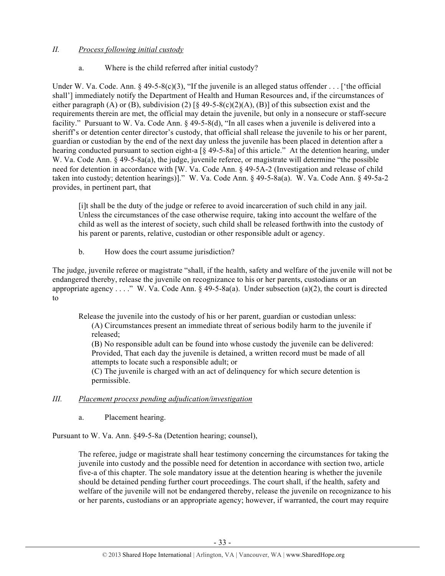## *II. Process following initial custody*

## a. Where is the child referred after initial custody?

Under W. Va. Code. Ann.  $\S 49-5-8(c)(3)$ , "If the juvenile is an alleged status offender . . . ['the official shall'] immediately notify the Department of Health and Human Resources and, if the circumstances of either paragraph (A) or (B), subdivision (2)  $[\S$  49-5-8(c)(2)(A), (B)] of this subsection exist and the requirements therein are met, the official may detain the juvenile, but only in a nonsecure or staff-secure facility." Pursuant to W. Va. Code Ann. § 49-5-8(d), "In all cases when a juvenile is delivered into a sheriff's or detention center director's custody, that official shall release the juvenile to his or her parent, guardian or custodian by the end of the next day unless the juvenile has been placed in detention after a hearing conducted pursuant to section eight-a [§ 49-5-8a] of this article." At the detention hearing, under W. Va. Code Ann. § 49-5-8a(a), the judge, juvenile referee, or magistrate will determine "the possible" need for detention in accordance with [W. Va. Code Ann. § 49-5A-2 (Investigation and release of child taken into custody; detention hearings)]." W. Va. Code Ann. § 49-5-8a(a). W. Va. Code Ann. § 49-5a-2 provides, in pertinent part, that

[i]t shall be the duty of the judge or referee to avoid incarceration of such child in any jail. Unless the circumstances of the case otherwise require, taking into account the welfare of the child as well as the interest of society, such child shall be released forthwith into the custody of his parent or parents, relative, custodian or other responsible adult or agency.

b. How does the court assume jurisdiction?

The judge, juvenile referee or magistrate "shall, if the health, safety and welfare of the juvenile will not be endangered thereby, release the juvenile on recognizance to his or her parents, custodians or an appropriate agency . . . ." W. Va. Code Ann.  $\S$  49-5-8a(a). Under subsection (a)(2), the court is directed to

Release the juvenile into the custody of his or her parent, guardian or custodian unless: (A) Circumstances present an immediate threat of serious bodily harm to the juvenile if released;

(B) No responsible adult can be found into whose custody the juvenile can be delivered: Provided, That each day the juvenile is detained, a written record must be made of all attempts to locate such a responsible adult; or

(C) The juvenile is charged with an act of delinquency for which secure detention is permissible.

#### *III. Placement process pending adjudication/investigation*

a. Placement hearing.

Pursuant to W. Va. Ann. §49-5-8a (Detention hearing; counsel),

The referee, judge or magistrate shall hear testimony concerning the circumstances for taking the juvenile into custody and the possible need for detention in accordance with section two, article five-a of this chapter. The sole mandatory issue at the detention hearing is whether the juvenile should be detained pending further court proceedings. The court shall, if the health, safety and welfare of the juvenile will not be endangered thereby, release the juvenile on recognizance to his or her parents, custodians or an appropriate agency; however, if warranted, the court may require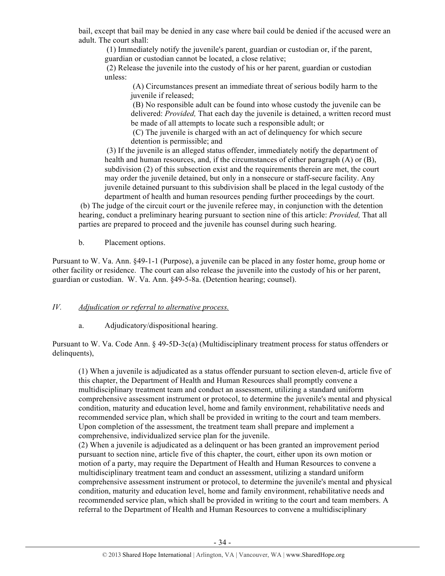bail, except that bail may be denied in any case where bail could be denied if the accused were an adult. The court shall:

(1) Immediately notify the juvenile's parent, guardian or custodian or, if the parent, guardian or custodian cannot be located, a close relative;

(2) Release the juvenile into the custody of his or her parent, guardian or custodian unless:

(A) Circumstances present an immediate threat of serious bodily harm to the juvenile if released;

(B) No responsible adult can be found into whose custody the juvenile can be delivered: *Provided,* That each day the juvenile is detained, a written record must be made of all attempts to locate such a responsible adult; or

(C) The juvenile is charged with an act of delinquency for which secure detention is permissible; and

(3) If the juvenile is an alleged status offender, immediately notify the department of health and human resources, and, if the circumstances of either paragraph (A) or (B), subdivision (2) of this subsection exist and the requirements therein are met, the court may order the juvenile detained, but only in a nonsecure or staff-secure facility. Any juvenile detained pursuant to this subdivision shall be placed in the legal custody of the department of health and human resources pending further proceedings by the court.

 (b) The judge of the circuit court or the juvenile referee may, in conjunction with the detention hearing, conduct a preliminary hearing pursuant to section nine of this article: *Provided,* That all parties are prepared to proceed and the juvenile has counsel during such hearing.

b. Placement options.

Pursuant to W. Va. Ann. §49-1-1 (Purpose), a juvenile can be placed in any foster home, group home or other facility or residence. The court can also release the juvenile into the custody of his or her parent, guardian or custodian. W. Va. Ann. §49-5-8a. (Detention hearing; counsel).

#### *IV. Adjudication or referral to alternative process.*

a. Adjudicatory/dispositional hearing.

Pursuant to W. Va. Code Ann. § 49-5D-3c(a) (Multidisciplinary treatment process for status offenders or delinquents),

(1) When a juvenile is adjudicated as a status offender pursuant to section eleven-d, article five of this chapter, the Department of Health and Human Resources shall promptly convene a multidisciplinary treatment team and conduct an assessment, utilizing a standard uniform comprehensive assessment instrument or protocol, to determine the juvenile's mental and physical condition, maturity and education level, home and family environment, rehabilitative needs and recommended service plan, which shall be provided in writing to the court and team members. Upon completion of the assessment, the treatment team shall prepare and implement a comprehensive, individualized service plan for the juvenile.

(2) When a juvenile is adjudicated as a delinquent or has been granted an improvement period pursuant to section nine, article five of this chapter, the court, either upon its own motion or motion of a party, may require the Department of Health and Human Resources to convene a multidisciplinary treatment team and conduct an assessment, utilizing a standard uniform comprehensive assessment instrument or protocol, to determine the juvenile's mental and physical condition, maturity and education level, home and family environment, rehabilitative needs and recommended service plan, which shall be provided in writing to the court and team members. A referral to the Department of Health and Human Resources to convene a multidisciplinary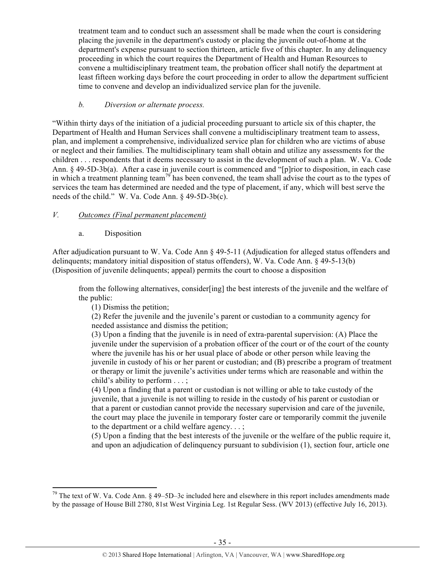treatment team and to conduct such an assessment shall be made when the court is considering placing the juvenile in the department's custody or placing the juvenile out-of-home at the department's expense pursuant to section thirteen, article five of this chapter. In any delinquency proceeding in which the court requires the Department of Health and Human Resources to convene a multidisciplinary treatment team, the probation officer shall notify the department at least fifteen working days before the court proceeding in order to allow the department sufficient time to convene and develop an individualized service plan for the juvenile.

# *b. Diversion or alternate process.*

"Within thirty days of the initiation of a judicial proceeding pursuant to article six of this chapter, the Department of Health and Human Services shall convene a multidisciplinary treatment team to assess, plan, and implement a comprehensive, individualized service plan for children who are victims of abuse or neglect and their families. The multidisciplinary team shall obtain and utilize any assessments for the children . . . respondents that it deems necessary to assist in the development of such a plan. W. Va. Code Ann. § 49-5D-3b(a). After a case in juvenile court is commenced and "[p]rior to disposition, in each case in which a treatment planning team<sup>79</sup> has been convened, the team shall advise the court as to the types of services the team has determined are needed and the type of placement, if any, which will best serve the needs of the child." W. Va. Code Ann. § 49-5D-3b(c).

# *V. Outcomes (Final permanent placement)*

a. Disposition

After adjudication pursuant to W. Va. Code Ann § 49-5-11 (Adjudication for alleged status offenders and delinquents; mandatory initial disposition of status offenders), W. Va. Code Ann. § 49-5-13(b) (Disposition of juvenile delinquents; appeal) permits the court to choose a disposition

from the following alternatives, consider[ing] the best interests of the juvenile and the welfare of the public:

(1) Dismiss the petition;

(2) Refer the juvenile and the juvenile's parent or custodian to a community agency for needed assistance and dismiss the petition;

(3) Upon a finding that the juvenile is in need of extra-parental supervision: (A) Place the juvenile under the supervision of a probation officer of the court or of the court of the county where the juvenile has his or her usual place of abode or other person while leaving the juvenile in custody of his or her parent or custodian; and (B) prescribe a program of treatment or therapy or limit the juvenile's activities under terms which are reasonable and within the child's ability to perform . . . ;

(4) Upon a finding that a parent or custodian is not willing or able to take custody of the juvenile, that a juvenile is not willing to reside in the custody of his parent or custodian or that a parent or custodian cannot provide the necessary supervision and care of the juvenile, the court may place the juvenile in temporary foster care or temporarily commit the juvenile to the department or a child welfare agency. . . ;

(5) Upon a finding that the best interests of the juvenile or the welfare of the public require it, and upon an adjudication of delinquency pursuant to subdivision (1), section four, article one

<sup>!!!!!!!!!!!!!!!!!!!!!!!!!!!!!!!!!!!!!!!!!!!!!!!!!!!!!!!!!!!!</sup>  $79$  The text of W. Va. Code Ann. § 49–5D–3c included here and elsewhere in this report includes amendments made by the passage of House Bill 2780, 81st West Virginia Leg. 1st Regular Sess. (WV 2013) (effective July 16, 2013).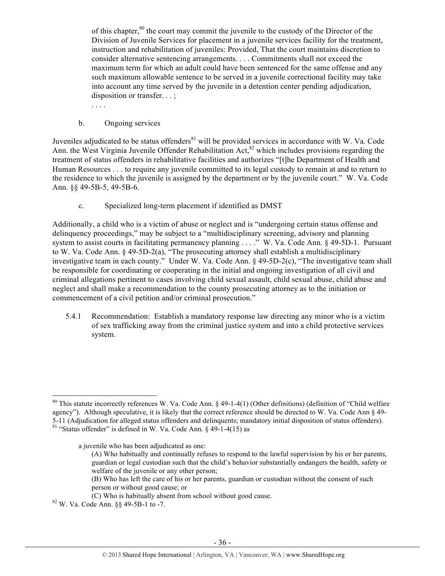of this chapter, $80$  the court may commit the juvenile to the custody of the Director of the Division of Juvenile Services for placement in a juvenile services facility for the treatment, instruction and rehabilitation of juveniles: Provided, That the court maintains discretion to consider alternative sentencing arrangements. . . . Commitments shall not exceed the maximum term for which an adult could have been sentenced for the same offense and any such maximum allowable sentence to be served in a juvenile correctional facility may take into account any time served by the juvenile in a detention center pending adjudication, disposition or transfer. . . ;

b. Ongoing services

. . . .

Juveniles adjudicated to be status offenders $^{81}$  will be provided services in accordance with W. Va. Code Ann. the West Virginia Juvenile Offender Rehabilitation Act,<sup>82</sup> which includes provisions regarding the treatment of status offenders in rehabilitative facilities and authorizes "[t]he Department of Health and Human Resources . . . to require any juvenile committed to its legal custody to remain at and to return to the residence to which the juvenile is assigned by the department or by the juvenile court." W. Va. Code Ann. §§ 49-5B-5, 49-5B-6.

c. Specialized long-term placement if identified as DMST

Additionally, a child who is a victim of abuse or neglect and is "undergoing certain status offense and delinquency proceedings," may be subject to a "multidisciplinary screening, advisory and planning system to assist courts in facilitating permanency planning . . . ." W. Va. Code Ann. § 49-5D-1. Pursuant to W. Va. Code Ann. § 49-5D-2(a), "The prosecuting attorney shall establish a multidisciplinary investigative team in each county." Under W. Va. Code Ann. § 49-5D-2(c), "The investigative team shall be responsible for coordinating or cooperating in the initial and ongoing investigation of all civil and criminal allegations pertinent to cases involving child sexual assault, child sexual abuse, child abuse and neglect and shall make a recommendation to the county prosecuting attorney as to the initiation or commencement of a civil petition and/or criminal prosecution."

5.4.1 Recommendation: Establish a mandatory response law directing any minor who is a victim of sex trafficking away from the criminal justice system and into a child protective services system.

a juvenile who has been adjudicated as one:

- (A) Who habitually and continually refuses to respond to the lawful supervision by his or her parents, guardian or legal custodian such that the child's behavior substantially endangers the health, safety or welfare of the juvenile or any other person;
- (B) Who has left the care of his or her parents, guardian or custodian without the consent of such person or without good cause; or
- (C) Who is habitually absent from school without good cause. <sup>82</sup> W. Va. Code Ann. §§ 49-5B-1 to -7.

<sup>&</sup>lt;sup>80</sup> This statute incorrectly references W. Va. Code Ann. § 49-1-4(1) (Other definitions) (definition of "Child welfare agency"). Although speculative, it is likely that the correct reference should be directed to W. Va. Code Ann § 49- 5-11 (Adjudication for alleged status offenders and delinquents; mandatory initial disposition of status offenders). <sup>81</sup> "Status offender" is defined in W. Va. Code Ann. § 49-1-4(15) as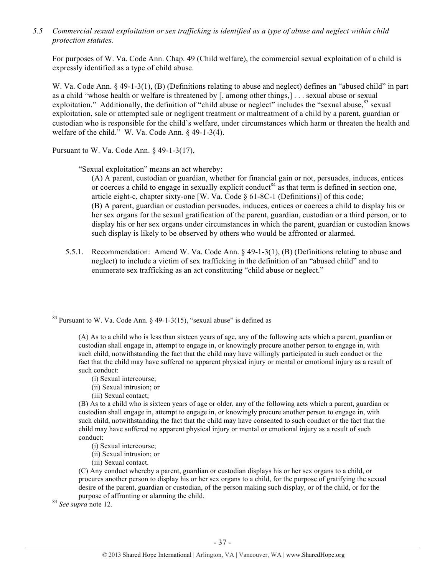*5.5 Commercial sexual exploitation or sex trafficking is identified as a type of abuse and neglect within child protection statutes.*

For purposes of W. Va. Code Ann. Chap. 49 (Child welfare), the commercial sexual exploitation of a child is expressly identified as a type of child abuse.

W. Va. Code Ann. § 49-1-3(1), (B) (Definitions relating to abuse and neglect) defines an "abused child" in part as a child "whose health or welfare is threatened by [, among other things,] . . . sexual abuse or sexual exploitation." Additionally, the definition of "child abuse or neglect" includes the "sexual abuse, <sup>83</sup> sexual exploitation, sale or attempted sale or negligent treatment or maltreatment of a child by a parent, guardian or custodian who is responsible for the child's welfare, under circumstances which harm or threaten the health and welfare of the child." W. Va. Code Ann. § 49-1-3(4).

Pursuant to W. Va. Code Ann. § 49-1-3(17),

"Sexual exploitation" means an act whereby:

(A) A parent, custodian or guardian, whether for financial gain or not, persuades, induces, entices or coerces a child to engage in sexually explicit conduct<sup>84</sup> as that term is defined in section one, article eight-c, chapter sixty-one [W. Va. Code  $\S$  61-8C-1 (Definitions)] of this code; (B) A parent, guardian or custodian persuades, induces, entices or coerces a child to display his or her sex organs for the sexual gratification of the parent, guardian, custodian or a third person, or to display his or her sex organs under circumstances in which the parent, guardian or custodian knows such display is likely to be observed by others who would be affronted or alarmed.

5.5.1. Recommendation: Amend W. Va. Code Ann. § 49-1-3(1), (B) (Definitions relating to abuse and neglect) to include a victim of sex trafficking in the definition of an "abused child" and to enumerate sex trafficking as an act constituting "child abuse or neglect."

- (i) Sexual intercourse;
- (ii) Sexual intrusion; or
- (iii) Sexual contact;

!!!!!!!!!!!!!!!!!!!!!!!!!!!!!!!!!!!!!!!!!!!!!!!!!!!!!!!!!!!!

(B) As to a child who is sixteen years of age or older, any of the following acts which a parent, guardian or custodian shall engage in, attempt to engage in, or knowingly procure another person to engage in, with such child, notwithstanding the fact that the child may have consented to such conduct or the fact that the child may have suffered no apparent physical injury or mental or emotional injury as a result of such conduct:

- (i) Sexual intercourse;
- (ii) Sexual intrusion; or
- (iii) Sexual contact.

(C) Any conduct whereby a parent, guardian or custodian displays his or her sex organs to a child, or procures another person to display his or her sex organs to a child, for the purpose of gratifying the sexual desire of the parent, guardian or custodian, of the person making such display, or of the child, or for the purpose of affronting or alarming the child. <sup>84</sup> *See supra* note 12.

 $83$  Pursuant to W. Va. Code Ann. § 49-1-3(15), "sexual abuse" is defined as

<sup>(</sup>A) As to a child who is less than sixteen years of age, any of the following acts which a parent, guardian or custodian shall engage in, attempt to engage in, or knowingly procure another person to engage in, with such child, notwithstanding the fact that the child may have willingly participated in such conduct or the fact that the child may have suffered no apparent physical injury or mental or emotional injury as a result of such conduct: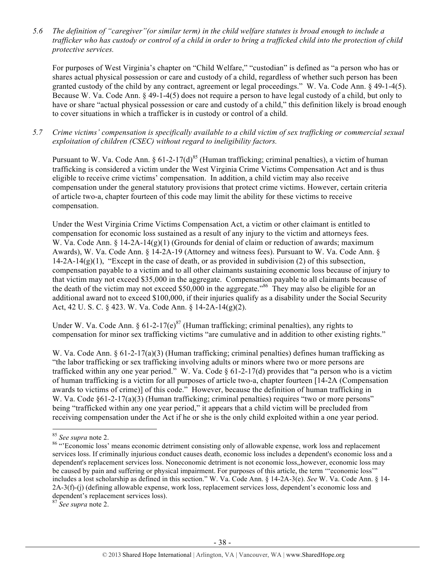*5.6 The definition of "caregiver"(or similar term) in the child welfare statutes is broad enough to include a trafficker who has custody or control of a child in order to bring a trafficked child into the protection of child protective services.*

For purposes of West Virginia's chapter on "Child Welfare," "custodian" is defined as "a person who has or shares actual physical possession or care and custody of a child, regardless of whether such person has been granted custody of the child by any contract, agreement or legal proceedings." W. Va. Code Ann. § 49-1-4(5). Because W. Va. Code Ann. § 49-1-4(5) does not require a person to have legal custody of a child, but only to have or share "actual physical possession or care and custody of a child," this definition likely is broad enough to cover situations in which a trafficker is in custody or control of a child.

*5.7 Crime victims' compensation is specifically available to a child victim of sex trafficking or commercial sexual exploitation of children (CSEC) without regard to ineligibility factors.*

Pursuant to W. Va. Code Ann. § 61-2-17(d)<sup>85</sup> (Human trafficking; criminal penalties), a victim of human trafficking is considered a victim under the West Virginia Crime Victims Compensation Act and is thus eligible to receive crime victims' compensation. In addition, a child victim may also receive compensation under the general statutory provisions that protect crime victims. However, certain criteria of article two-a, chapter fourteen of this code may limit the ability for these victims to receive compensation.

Under the West Virginia Crime Victims Compensation Act, a victim or other claimant is entitled to compensation for economic loss sustained as a result of any injury to the victim and attorneys fees. W. Va. Code Ann.  $\S 14-2A-14(g)(1)$  (Grounds for denial of claim or reduction of awards; maximum Awards), W. Va. Code Ann. § 14-2A-19 (Attorney and witness fees). Pursuant to W. Va. Code Ann. §  $14-2A-14(g)(1)$ , "Except in the case of death, or as provided in subdivision (2) of this subsection, compensation payable to a victim and to all other claimants sustaining economic loss because of injury to that victim may not exceed \$35,000 in the aggregate. Compensation payable to all claimants because of the death of the victim may not exceed \$50,000 in the aggregate."<sup>86</sup> They may also be eligible for an additional award not to exceed \$100,000, if their injuries qualify as a disability under the Social Security Act, 42 U. S. C. § 423. W. Va. Code Ann. § 14-2A-14(g)(2).

Under W. Va. Code Ann.  $\frac{61-2-17(e)^{87}}{2}$  (Human trafficking; criminal penalties), any rights to compensation for minor sex trafficking victims "are cumulative and in addition to other existing rights."

W. Va. Code Ann. § 61-2-17(a)(3) (Human trafficking; criminal penalties) defines human trafficking as "the labor trafficking or sex trafficking involving adults or minors where two or more persons are trafficked within any one year period." W. Va. Code  $\S$  61-2-17(d) provides that "a person who is a victim of human trafficking is a victim for all purposes of article two-a, chapter fourteen [14-2A (Compensation awards to victims of crime)] of this code." However, because the definition of human trafficking in W. Va. Code  $\S61-2-17(a)(3)$  (Human trafficking; criminal penalties) requires "two or more persons" being "trafficked within any one year period," it appears that a child victim will be precluded from receiving compensation under the Act if he or she is the only child exploited within a one year period.

!!!!!!!!!!!!!!!!!!!!!!!!!!!!!!!!!!!!!!!!!!!!!!!!!!!!!!!!!!!!

<sup>87</sup> *See supra* note 2.

<sup>&</sup>lt;sup>85</sup> See supra note 2.<br><sup>86</sup> "Economic loss' means economic detriment consisting only of allowable expense, work loss and replacement services loss. If criminally injurious conduct causes death, economic loss includes a dependent's economic loss and a dependent's replacement services loss. Noneconomic detriment is not economic loss,,however, economic loss may be caused by pain and suffering or physical impairment. For purposes of this article, the term '"economic loss'" includes a lost scholarship as defined in this section." W. Va. Code Ann. § 14-2A-3(e). *See* W. Va. Code Ann. § 14- 2A-3(f)-(j) (defining allowable expense, work loss, replacement services loss, dependent's economic loss and dependent's replacement services loss).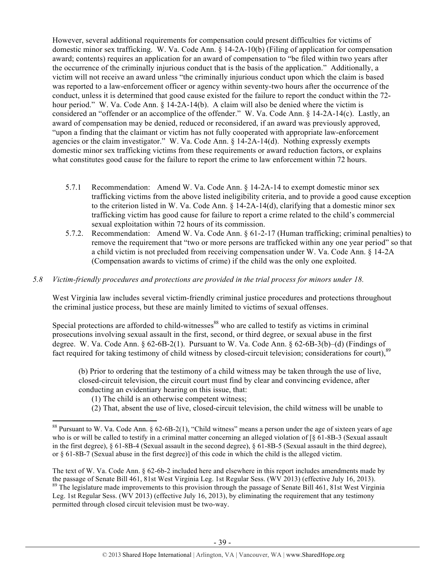However, several additional requirements for compensation could present difficulties for victims of domestic minor sex trafficking. W. Va. Code Ann. § 14-2A-10(b) (Filing of application for compensation award; contents) requires an application for an award of compensation to "be filed within two years after the occurrence of the criminally injurious conduct that is the basis of the application." Additionally, a victim will not receive an award unless "the criminally injurious conduct upon which the claim is based was reported to a law-enforcement officer or agency within seventy-two hours after the occurrence of the conduct, unless it is determined that good cause existed for the failure to report the conduct within the 72 hour period." W. Va. Code Ann. § 14-2A-14(b). A claim will also be denied where the victim is considered an "offender or an accomplice of the offender." W. Va. Code Ann. § 14-2A-14(c). Lastly, an award of compensation may be denied, reduced or reconsidered, if an award was previously approved, "upon a finding that the claimant or victim has not fully cooperated with appropriate law-enforcement agencies or the claim investigator." W. Va. Code Ann. § 14-2A-14(d). Nothing expressly exempts domestic minor sex trafficking victims from these requirements or award reduction factors, or explains what constitutes good cause for the failure to report the crime to law enforcement within 72 hours.

- 5.7.1 Recommendation: Amend W. Va. Code Ann. § 14-2A-14 to exempt domestic minor sex trafficking victims from the above listed ineligibility criteria, and to provide a good cause exception to the criterion listed in W. Va. Code Ann.  $\S 14-2A-14(d)$ , clarifying that a domestic minor sex trafficking victim has good cause for failure to report a crime related to the child's commercial sexual exploitation within 72 hours of its commission.
- 5.7.2. Recommendation: Amend W. Va. Code Ann. § 61-2-17 (Human trafficking; criminal penalties) to remove the requirement that "two or more persons are trafficked within any one year period" so that a child victim is not precluded from receiving compensation under W. Va. Code Ann. § 14-2A (Compensation awards to victims of crime) if the child was the only one exploited.

#### *5.8 Victim-friendly procedures and protections are provided in the trial process for minors under 18.*

West Virginia law includes several victim-friendly criminal justice procedures and protections throughout the criminal justice process, but these are mainly limited to victims of sexual offenses.

Special protections are afforded to child-witnesses<sup>88</sup> who are called to testify as victims in criminal prosecutions involving sexual assault in the first, second, or third degree, or sexual abuse in the first degree. W. Va. Code Ann. § 62-6B-2(1). Pursuant to W. Va. Code Ann. § 62-6B-3(b)–(d) (Findings of fact required for taking testimony of child witness by closed-circuit television; considerations for court).<sup>89</sup>

(b) Prior to ordering that the testimony of a child witness may be taken through the use of live, closed-circuit television, the circuit court must find by clear and convincing evidence, after conducting an evidentiary hearing on this issue, that:

(1) The child is an otherwise competent witness;

!!!!!!!!!!!!!!!!!!!!!!!!!!!!!!!!!!!!!!!!!!!!!!!!!!!!!!!!!!!!

(2) That, absent the use of live, closed-circuit television, the child witness will be unable to

The text of W. Va. Code Ann. § 62-6b-2 included here and elsewhere in this report includes amendments made by the passage of Senate Bill 461, 81st West Virginia Leg. 1st Regular Sess. (WV 2013) (effective July 16, 2013).  $89$  The legislature made improvements to this provision through the passage of Senate Bill 461, 81st West Virginia Leg. 1st Regular Sess. (WV 2013) (effective July 16, 2013), by eliminating the requirement that any testimony permitted through closed circuit television must be two-way.

<sup>&</sup>lt;sup>88</sup> Pursuant to W. Va. Code Ann.  $\S 62-6B-2(1)$ , "Child witness" means a person under the age of sixteen years of age who is or will be called to testify in a criminal matter concerning an alleged violation of  $\lceil \xi \, 61 - 8B - 3 \,$  (Sexual assault in the first degree),  $\S 61-8B-4$  (Sexual assault in the second degree),  $\S 61-8B-5$  (Sexual assault in the third degree), or § 61-8B-7 (Sexual abuse in the first degree)] of this code in which the child is the alleged victim.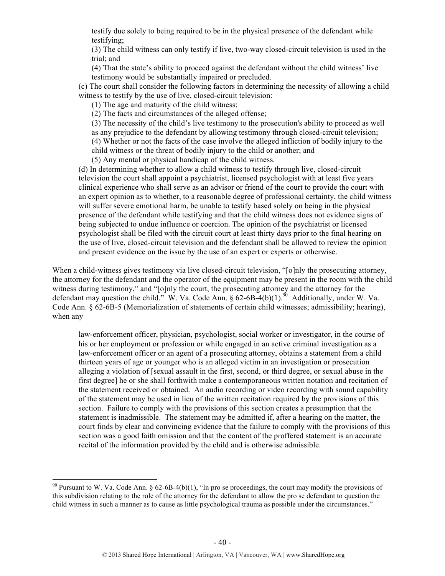testify due solely to being required to be in the physical presence of the defendant while testifying;

(3) The child witness can only testify if live, two-way closed-circuit television is used in the trial; and

(4) That the state's ability to proceed against the defendant without the child witness' live testimony would be substantially impaired or precluded.

(c) The court shall consider the following factors in determining the necessity of allowing a child witness to testify by the use of live, closed-circuit television:

(1) The age and maturity of the child witness;

(2) The facts and circumstances of the alleged offense;

(3) The necessity of the child's live testimony to the prosecution's ability to proceed as well as any prejudice to the defendant by allowing testimony through closed-circuit television; (4) Whether or not the facts of the case involve the alleged infliction of bodily injury to the child witness or the threat of bodily injury to the child or another; and

(5) Any mental or physical handicap of the child witness.

(d) In determining whether to allow a child witness to testify through live, closed-circuit television the court shall appoint a psychiatrist, licensed psychologist with at least five years clinical experience who shall serve as an advisor or friend of the court to provide the court with an expert opinion as to whether, to a reasonable degree of professional certainty, the child witness will suffer severe emotional harm, be unable to testify based solely on being in the physical presence of the defendant while testifying and that the child witness does not evidence signs of being subjected to undue influence or coercion. The opinion of the psychiatrist or licensed psychologist shall be filed with the circuit court at least thirty days prior to the final hearing on the use of live, closed-circuit television and the defendant shall be allowed to review the opinion and present evidence on the issue by the use of an expert or experts or otherwise.

When a child-witness gives testimony via live closed-circuit television, "[o]nly the prosecuting attorney, the attorney for the defendant and the operator of the equipment may be present in the room with the child witness during testimony," and "[o]nly the court, the prosecuting attorney and the attorney for the defendant may question the child." W. Va. Code Ann.  $\S 62-6B-4(b)(1)$ .<sup>90</sup> Additionally, under W. Va. Code Ann. § 62-6B-5 (Memorialization of statements of certain child witnesses; admissibility; hearing), when any

law-enforcement officer, physician, psychologist, social worker or investigator, in the course of his or her employment or profession or while engaged in an active criminal investigation as a law-enforcement officer or an agent of a prosecuting attorney, obtains a statement from a child thirteen years of age or younger who is an alleged victim in an investigation or prosecution alleging a violation of [sexual assault in the first, second, or third degree, or sexual abuse in the first degree] he or she shall forthwith make a contemporaneous written notation and recitation of the statement received or obtained. An audio recording or video recording with sound capability of the statement may be used in lieu of the written recitation required by the provisions of this section. Failure to comply with the provisions of this section creates a presumption that the statement is inadmissible. The statement may be admitted if, after a hearing on the matter, the court finds by clear and convincing evidence that the failure to comply with the provisions of this section was a good faith omission and that the content of the proffered statement is an accurate recital of the information provided by the child and is otherwise admissible.

<sup>&</sup>lt;sup>90</sup> Pursuant to W. Va. Code Ann. § 62-6B-4(b)(1), "In pro se proceedings, the court may modify the provisions of this subdivision relating to the role of the attorney for the defendant to allow the pro se defendant to question the child witness in such a manner as to cause as little psychological trauma as possible under the circumstances."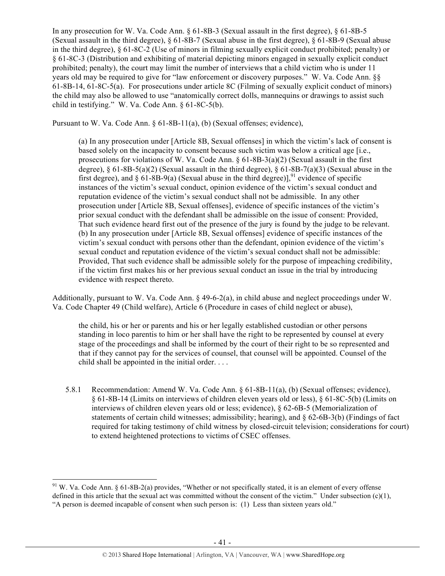In any prosecution for W. Va. Code Ann. § 61-8B-3 (Sexual assault in the first degree), § 61-8B-5 (Sexual assault in the third degree), § 61-8B-7 (Sexual abuse in the first degree), § 61-8B-9 (Sexual abuse in the third degree), § 61-8C-2 (Use of minors in filming sexually explicit conduct prohibited; penalty) or § 61-8C-3 (Distribution and exhibiting of material depicting minors engaged in sexually explicit conduct prohibited; penalty), the court may limit the number of interviews that a child victim who is under 11 years old may be required to give for "law enforcement or discovery purposes." W. Va. Code Ann. §§ 61-8B-14, 61-8C-5(a). For prosecutions under article 8C (Filming of sexually explicit conduct of minors) the child may also be allowed to use "anatomically correct dolls, mannequins or drawings to assist such child in testifying." W. Va. Code Ann. § 61-8C-5(b).

Pursuant to W. Va. Code Ann. § 61-8B-11(a), (b) (Sexual offenses; evidence),

(a) In any prosecution under [Article 8B, Sexual offenses] in which the victim's lack of consent is based solely on the incapacity to consent because such victim was below a critical age [i.e., prosecutions for violations of W. Va. Code Ann.  $\S 61-8B-3(a)(2)$  (Sexual assault in the first degree),  $\S 61-8B-5(a)(2)$  (Sexual assault in the third degree),  $\S 61-8B-7(a)(3)$  (Sexual abuse in the first degree), and  $\S 61-8B-9(a)$  (Sexual abuse in the third degree)], <sup>91</sup> evidence of specific instances of the victim's sexual conduct, opinion evidence of the victim's sexual conduct and reputation evidence of the victim's sexual conduct shall not be admissible. In any other prosecution under [Article 8B, Sexual offenses], evidence of specific instances of the victim's prior sexual conduct with the defendant shall be admissible on the issue of consent: Provided, That such evidence heard first out of the presence of the jury is found by the judge to be relevant. (b) In any prosecution under [Article 8B, Sexual offenses] evidence of specific instances of the victim's sexual conduct with persons other than the defendant, opinion evidence of the victim's sexual conduct and reputation evidence of the victim's sexual conduct shall not be admissible: Provided, That such evidence shall be admissible solely for the purpose of impeaching credibility, if the victim first makes his or her previous sexual conduct an issue in the trial by introducing evidence with respect thereto.

Additionally, pursuant to W. Va. Code Ann. § 49-6-2(a), in child abuse and neglect proceedings under W. Va. Code Chapter 49 (Child welfare), Article 6 (Procedure in cases of child neglect or abuse),

the child, his or her or parents and his or her legally established custodian or other persons standing in loco parentis to him or her shall have the right to be represented by counsel at every stage of the proceedings and shall be informed by the court of their right to be so represented and that if they cannot pay for the services of counsel, that counsel will be appointed. Counsel of the child shall be appointed in the initial order. . . .

5.8.1 Recommendation: Amend W. Va. Code Ann. § 61-8B-11(a), (b) (Sexual offenses; evidence), § 61-8B-14 (Limits on interviews of children eleven years old or less), § 61-8C-5(b) (Limits on interviews of children eleven years old or less; evidence), § 62-6B-5 (Memorialization of statements of certain child witnesses; admissibility; hearing), and § 62-6B-3(b) (Findings of fact required for taking testimony of child witness by closed-circuit television; considerations for court) to extend heightened protections to victims of CSEC offenses.

 $91$  W. Va. Code Ann. § 61-8B-2(a) provides, "Whether or not specifically stated, it is an element of every offense defined in this article that the sexual act was committed without the consent of the victim." Under subsection  $(c)(1)$ ,

<sup>&</sup>quot;A person is deemed incapable of consent when such person is: (1) Less than sixteen years old."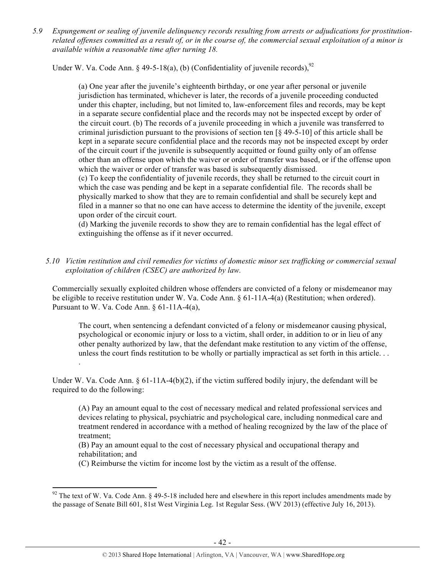*5.9 Expungement or sealing of juvenile delinquency records resulting from arrests or adjudications for prostitutionrelated offenses committed as a result of, or in the course of, the commercial sexual exploitation of a minor is available within a reasonable time after turning 18.*

Under W. Va. Code Ann. § 49-5-18(a), (b) (Confidentiality of juvenile records), <sup>92</sup>

(a) One year after the juvenile's eighteenth birthday, or one year after personal or juvenile jurisdiction has terminated, whichever is later, the records of a juvenile proceeding conducted under this chapter, including, but not limited to, law-enforcement files and records, may be kept in a separate secure confidential place and the records may not be inspected except by order of the circuit court. (b) The records of a juvenile proceeding in which a juvenile was transferred to criminal jurisdiction pursuant to the provisions of section ten [§ 49-5-10] of this article shall be kept in a separate secure confidential place and the records may not be inspected except by order of the circuit court if the juvenile is subsequently acquitted or found guilty only of an offense other than an offense upon which the waiver or order of transfer was based, or if the offense upon which the waiver or order of transfer was based is subsequently dismissed.

(c) To keep the confidentiality of juvenile records, they shall be returned to the circuit court in which the case was pending and be kept in a separate confidential file. The records shall be physically marked to show that they are to remain confidential and shall be securely kept and filed in a manner so that no one can have access to determine the identity of the juvenile, except upon order of the circuit court.

(d) Marking the juvenile records to show they are to remain confidential has the legal effect of extinguishing the offense as if it never occurred.

*5.10 Victim restitution and civil remedies for victims of domestic minor sex trafficking or commercial sexual exploitation of children (CSEC) are authorized by law.* 

Commercially sexually exploited children whose offenders are convicted of a felony or misdemeanor may be eligible to receive restitution under W. Va. Code Ann. § 61-11A-4(a) (Restitution; when ordered). Pursuant to W. Va. Code Ann. § 61-11A-4(a),

The court, when sentencing a defendant convicted of a felony or misdemeanor causing physical, psychological or economic injury or loss to a victim, shall order, in addition to or in lieu of any other penalty authorized by law, that the defendant make restitution to any victim of the offense, unless the court finds restitution to be wholly or partially impractical as set forth in this article. . .

Under W. Va. Code Ann.  $\S 61-11A-4(b)(2)$ , if the victim suffered bodily injury, the defendant will be required to do the following:

.

(A) Pay an amount equal to the cost of necessary medical and related professional services and devices relating to physical, psychiatric and psychological care, including nonmedical care and treatment rendered in accordance with a method of healing recognized by the law of the place of treatment;

(B) Pay an amount equal to the cost of necessary physical and occupational therapy and rehabilitation; and

(C) Reimburse the victim for income lost by the victim as a result of the offense.

<sup>!!!!!!!!!!!!!!!!!!!!!!!!!!!!!!!!!!!!!!!!!!!!!!!!!!!!!!!!!!!!</sup>  $92$  The text of W. Va. Code Ann. § 49-5-18 included here and elsewhere in this report includes amendments made by the passage of Senate Bill 601, 81st West Virginia Leg. 1st Regular Sess. (WV 2013) (effective July 16, 2013).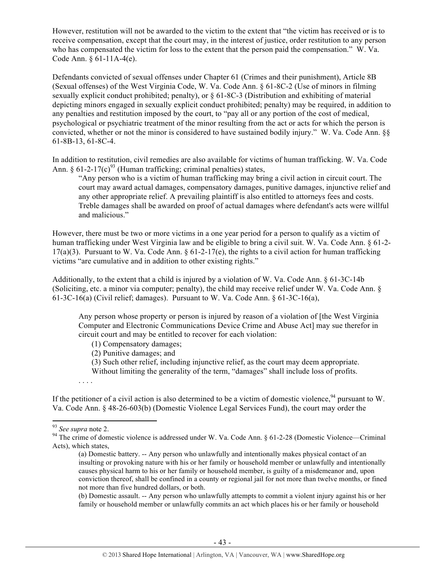However, restitution will not be awarded to the victim to the extent that "the victim has received or is to receive compensation, except that the court may, in the interest of justice, order restitution to any person who has compensated the victim for loss to the extent that the person paid the compensation." W. Va. Code Ann. § 61-11A-4(e).

Defendants convicted of sexual offenses under Chapter 61 (Crimes and their punishment), Article 8B (Sexual offenses) of the West Virginia Code, W. Va. Code Ann. § 61-8C-2 (Use of minors in filming sexually explicit conduct prohibited; penalty), or § 61-8C-3 (Distribution and exhibiting of material depicting minors engaged in sexually explicit conduct prohibited; penalty) may be required, in addition to any penalties and restitution imposed by the court, to "pay all or any portion of the cost of medical, psychological or psychiatric treatment of the minor resulting from the act or acts for which the person is convicted, whether or not the minor is considered to have sustained bodily injury." W. Va. Code Ann. §§ 61-8B-13, 61-8C-4.

In addition to restitution, civil remedies are also available for victims of human trafficking. W. Va. Code Ann.  $\frac{6}{1-2-17(c)^{93}}$  (Human trafficking; criminal penalties) states,

"Any person who is a victim of human trafficking may bring a civil action in circuit court. The court may award actual damages, compensatory damages, punitive damages, injunctive relief and any other appropriate relief. A prevailing plaintiff is also entitled to attorneys fees and costs. Treble damages shall be awarded on proof of actual damages where defendant's acts were willful and malicious."

However, there must be two or more victims in a one year period for a person to qualify as a victim of human trafficking under West Virginia law and be eligible to bring a civil suit. W. Va. Code Ann. § 61-2-  $17(a)(3)$ . Pursuant to W. Va. Code Ann.  $\frac{6(1-2)}{17(e)}$ , the rights to a civil action for human trafficking victims "are cumulative and in addition to other existing rights."

Additionally, to the extent that a child is injured by a violation of W. Va. Code Ann. § 61-3C-14b (Soliciting, etc. a minor via computer; penalty), the child may receive relief under W. Va. Code Ann. § 61-3C-16(a) (Civil relief; damages). Pursuant to W. Va. Code Ann. § 61-3C-16(a),

Any person whose property or person is injured by reason of a violation of [the West Virginia Computer and Electronic Communications Device Crime and Abuse Act] may sue therefor in circuit court and may be entitled to recover for each violation:

(1) Compensatory damages;

(2) Punitive damages; and

(3) Such other relief, including injunctive relief, as the court may deem appropriate.

Without limiting the generality of the term, "damages" shall include loss of profits.

. . . .

If the petitioner of a civil action is also determined to be a victim of domestic violence,  $94$  pursuant to W. Va. Code Ann. § 48-26-603(b) (Domestic Violence Legal Services Fund), the court may order the

!!!!!!!!!!!!!!!!!!!!!!!!!!!!!!!!!!!!!!!!!!!!!!!!!!!!!!!!!!!!

(b) Domestic assault. -- Any person who unlawfully attempts to commit a violent injury against his or her family or household member or unlawfully commits an act which places his or her family or household

<sup>&</sup>lt;sup>93</sup> See supra note 2.<br><sup>94</sup> The crime of domestic violence is addressed under W. Va. Code Ann. § 61-2-28 (Domestic Violence—Criminal Acts), which states,

<sup>(</sup>a) Domestic battery. -- Any person who unlawfully and intentionally makes physical contact of an insulting or provoking nature with his or her family or household member or unlawfully and intentionally causes physical harm to his or her family or household member, is guilty of a misdemeanor and, upon conviction thereof, shall be confined in a county or regional jail for not more than twelve months, or fined not more than five hundred dollars, or both.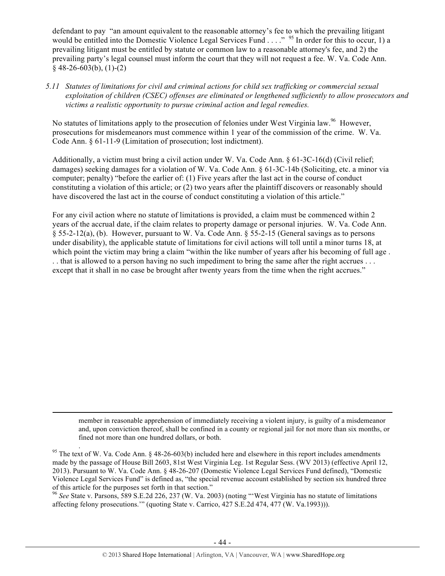defendant to pay "an amount equivalent to the reasonable attorney's fee to which the prevailing litigant would be entitled into the Domestic Violence Legal Services Fund . . . . "<sup>95</sup> In order for this to occur, 1) a prevailing litigant must be entitled by statute or common law to a reasonable attorney's fee, and 2) the prevailing party's legal counsel must inform the court that they will not request a fee. W. Va. Code Ann.  $§$  48-26-603(b), (1)-(2)

*5.11 Statutes of limitations for civil and criminal actions for child sex trafficking or commercial sexual exploitation of children (CSEC) offenses are eliminated or lengthened sufficiently to allow prosecutors and victims a realistic opportunity to pursue criminal action and legal remedies.*

No statutes of limitations apply to the prosecution of felonies under West Virginia law.<sup>96</sup> However, prosecutions for misdemeanors must commence within 1 year of the commission of the crime. W. Va. Code Ann. § 61-11-9 (Limitation of prosecution; lost indictment).

Additionally, a victim must bring a civil action under W. Va. Code Ann. § 61-3C-16(d) (Civil relief; damages) seeking damages for a violation of W. Va. Code Ann. § 61-3C-14b (Soliciting, etc. a minor via computer; penalty) "before the earlier of: (1) Five years after the last act in the course of conduct constituting a violation of this article; or (2) two years after the plaintiff discovers or reasonably should have discovered the last act in the course of conduct constituting a violation of this article."

For any civil action where no statute of limitations is provided, a claim must be commenced within 2 years of the accrual date, if the claim relates to property damage or personal injuries. W. Va. Code Ann. § 55-2-12(a), (b). However, pursuant to W. Va. Code Ann. § 55-2-15 (General savings as to persons under disability), the applicable statute of limitations for civil actions will toll until a minor turns 18, at which point the victim may bring a claim "within the like number of years after his becoming of full age. . . that is allowed to a person having no such impediment to bring the same after the right accrues . . . except that it shall in no case be brought after twenty years from the time when the right accrues."

member in reasonable apprehension of immediately receiving a violent injury, is guilty of a misdemeanor and, upon conviction thereof, shall be confined in a county or regional jail for not more than six months, or fined not more than one hundred dollars, or both.

!!!!!!!!!!!!!!!!!!!!!!!!!!!!!!!!!!!!!!!!!!!!!!!!!!!!!!!!!!!!!!!!!!!!!!!!!!!!!!!!!!!!!!!!!!!!!!!!!!!!!!!!!!!!!!!!!!!!!!!!!!!!!!!!!!!!!!!!!!!!!!!!!!!!!!!!!!!!!!!!!!!!!!!!!!!!!!!!!!!!!!!!!!!!!!!!!!!

<sup>96</sup> *See* State v. Parsons, 589 S.E.2d 226, 237 (W. Va. 2003) (noting "'West Virginia has no statute of limitations affecting felony prosecutions.'" (quoting State v. Carrico, 427 S.E.2d 474, 477 (W. Va.1993))).

<sup>&</sup>lt;sup>95</sup> The text of W. Va. Code Ann. § 48-26-603(b) included here and elsewhere in this report includes amendments made by the passage of House Bill 2603, 81st West Virginia Leg. 1st Regular Sess. (WV 2013) (effective April 12, 2013). Pursuant to W. Va. Code Ann. § 48-26-207 (Domestic Violence Legal Services Fund defined), "Domestic Violence Legal Services Fund" is defined as, "the special revenue account established by section six hundred three of this article for the purposes set forth in that section."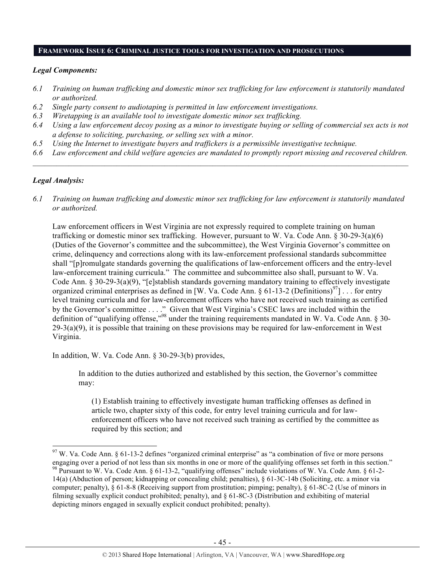#### **FRAMEWORK ISSUE 6: CRIMINAL JUSTICE TOOLS FOR INVESTIGATION AND PROSECUTIONS**

#### *Legal Components:*

- *6.1 Training on human trafficking and domestic minor sex trafficking for law enforcement is statutorily mandated or authorized.*
- *6.2 Single party consent to audiotaping is permitted in law enforcement investigations.*
- *6.3 Wiretapping is an available tool to investigate domestic minor sex trafficking.*
- *6.4 Using a law enforcement decoy posing as a minor to investigate buying or selling of commercial sex acts is not a defense to soliciting, purchasing, or selling sex with a minor.*
- *6.5 Using the Internet to investigate buyers and traffickers is a permissible investigative technique.*
- *6.6 Law enforcement and child welfare agencies are mandated to promptly report missing and recovered children.*  $\mathcal{L} = \{ \mathcal{L} \mathcal{L} \mathcal{L} \mathcal{L} \mathcal{L} \mathcal{L} \mathcal{L} \mathcal{L} \mathcal{L} \mathcal{L} \mathcal{L} \mathcal{L} \mathcal{L} \mathcal{L} \mathcal{L} \mathcal{L} \mathcal{L} \mathcal{L} \mathcal{L} \mathcal{L} \mathcal{L} \mathcal{L} \mathcal{L} \mathcal{L} \mathcal{L} \mathcal{L} \mathcal{L} \mathcal{L} \mathcal{L} \mathcal{L} \mathcal{L} \mathcal{L} \mathcal{L} \mathcal{L} \mathcal{L} \$

#### *Legal Analysis:*

*6.1 Training on human trafficking and domestic minor sex trafficking for law enforcement is statutorily mandated or authorized.*

Law enforcement officers in West Virginia are not expressly required to complete training on human trafficking or domestic minor sex trafficking. However, pursuant to W. Va. Code Ann. § 30-29-3(a)(6) (Duties of the Governor's committee and the subcommittee), the West Virginia Governor's committee on crime, delinquency and corrections along with its law-enforcement professional standards subcommittee shall "[p]romulgate standards governing the qualifications of law-enforcement officers and the entry-level law-enforcement training curricula." The committee and subcommittee also shall, pursuant to W. Va. Code Ann.  $\S 30-29-3(a)(9)$ , "[e]stablish standards governing mandatory training to effectively investigate organized criminal enterprises as defined in [W. Va. Code Ann. § 61-13-2 (Definitions)<sup>97</sup>]... for entry level training curricula and for law-enforcement officers who have not received such training as certified by the Governor's committee . . . ." Given that West Virginia's CSEC laws are included within the definition of "qualifying offense,"98 under the training requirements mandated in W. Va. Code Ann. § 30-  $29-3(a)(9)$ , it is possible that training on these provisions may be required for law-enforcement in West Virginia.

In addition, W. Va. Code Ann. § 30-29-3(b) provides,

In addition to the duties authorized and established by this section, the Governor's committee may:

(1) Establish training to effectively investigate human trafficking offenses as defined in article two, chapter sixty of this code, for entry level training curricula and for lawenforcement officers who have not received such training as certified by the committee as required by this section; and

<sup>&</sup>lt;sup>97</sup> W. Va. Code Ann. § 61-13-2 defines "organized criminal enterprise" as "a combination of five or more persons engaging over a period of not less than six months in one or more of the qualifying offenses set forth in t <sup>98</sup> Pursuant to W. Va. Code Ann. § 61-13-2, "qualifying offenses" include violations of W. Va. Code Ann. § 61-2-14(a) (Abduction of person; kidnapping or concealing child; penalties), § 61-3C-14b (Soliciting, etc. a minor via computer; penalty), § 61-8-8 (Receiving support from prostitution; pimping; penalty), § 61-8C-2 (Use of minors in filming sexually explicit conduct prohibited; penalty), and § 61-8C-3 (Distribution and exhibiting of material depicting minors engaged in sexually explicit conduct prohibited; penalty).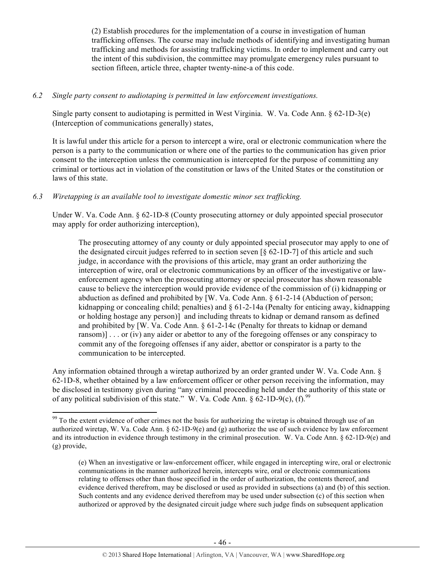(2) Establish procedures for the implementation of a course in investigation of human trafficking offenses. The course may include methods of identifying and investigating human trafficking and methods for assisting trafficking victims. In order to implement and carry out the intent of this subdivision, the committee may promulgate emergency rules pursuant to section fifteen, article three, chapter twenty-nine-a of this code.

#### *6.2 Single party consent to audiotaping is permitted in law enforcement investigations.*

Single party consent to audiotaping is permitted in West Virginia. W. Va. Code Ann. § 62-1D-3(e) (Interception of communications generally) states,

It is lawful under this article for a person to intercept a wire, oral or electronic communication where the person is a party to the communication or where one of the parties to the communication has given prior consent to the interception unless the communication is intercepted for the purpose of committing any criminal or tortious act in violation of the constitution or laws of the United States or the constitution or laws of this state.

# *6.3 Wiretapping is an available tool to investigate domestic minor sex trafficking.*

!!!!!!!!!!!!!!!!!!!!!!!!!!!!!!!!!!!!!!!!!!!!!!!!!!!!!!!!!!!!

Under W. Va. Code Ann. § 62-1D-8 (County prosecuting attorney or duly appointed special prosecutor may apply for order authorizing interception),

The prosecuting attorney of any county or duly appointed special prosecutor may apply to one of the designated circuit judges referred to in section seven [§ 62-1D-7] of this article and such judge, in accordance with the provisions of this article, may grant an order authorizing the interception of wire, oral or electronic communications by an officer of the investigative or lawenforcement agency when the prosecuting attorney or special prosecutor has shown reasonable cause to believe the interception would provide evidence of the commission of (i) kidnapping or abduction as defined and prohibited by [W. Va. Code Ann. § 61-2-14 (Abduction of person; kidnapping or concealing child; penalties) and § 61-2-14a (Penalty for enticing away, kidnapping or holding hostage any person)] and including threats to kidnap or demand ransom as defined and prohibited by [W. Va. Code Ann. § 61-2-14c (Penalty for threats to kidnap or demand ransom)] . . . or (iv) any aider or abettor to any of the foregoing offenses or any conspiracy to commit any of the foregoing offenses if any aider, abettor or conspirator is a party to the communication to be intercepted.

Any information obtained through a wiretap authorized by an order granted under W. Va. Code Ann. § 62-1D-8, whether obtained by a law enforcement officer or other person receiving the information, may be disclosed in testimony given during "any criminal proceeding held under the authority of this state or of any political subdivision of this state." W. Va. Code Ann.  $\frac{6}{9}$  62-1D-9(c), (f).<sup>99</sup>

<sup>&</sup>lt;sup>99</sup> To the extent evidence of other crimes not the basis for authorizing the wiretap is obtained through use of an authorized wiretap, W. Va. Code Ann.  $\S 62-1D-9(e)$  and (g) authorize the use of such evidence by law enforcement and its introduction in evidence through testimony in the criminal prosecution. W. Va. Code Ann. § 62-1D-9(e) and (g) provide,

<sup>(</sup>e) When an investigative or law-enforcement officer, while engaged in intercepting wire, oral or electronic communications in the manner authorized herein, intercepts wire, oral or electronic communications relating to offenses other than those specified in the order of authorization, the contents thereof, and evidence derived therefrom, may be disclosed or used as provided in subsections (a) and (b) of this section. Such contents and any evidence derived therefrom may be used under subsection (c) of this section when authorized or approved by the designated circuit judge where such judge finds on subsequent application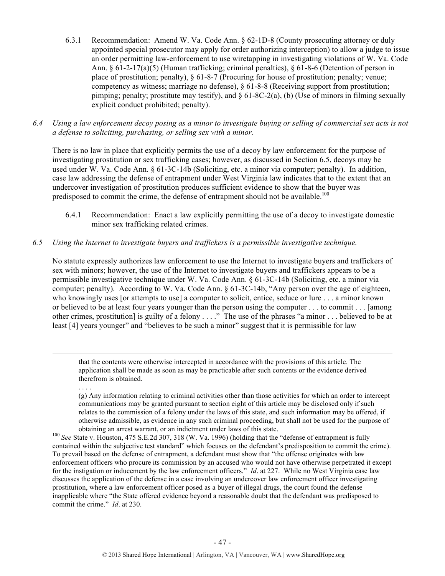- 6.3.1 Recommendation: Amend W. Va. Code Ann. § 62-1D-8 (County prosecuting attorney or duly appointed special prosecutor may apply for order authorizing interception) to allow a judge to issue an order permitting law-enforcement to use wiretapping in investigating violations of W. Va. Code Ann. § 61-2-17(a)(5) (Human trafficking; criminal penalties), § 61-8-6 (Detention of person in place of prostitution; penalty), § 61-8-7 (Procuring for house of prostitution; penalty; venue; competency as witness; marriage no defense), § 61-8-8 (Receiving support from prostitution; pimping; penalty; prostitute may testify), and  $\S 61-8C-2(a)$ , (b) (Use of minors in filming sexually explicit conduct prohibited; penalty).
- *6.4 Using a law enforcement decoy posing as a minor to investigate buying or selling of commercial sex acts is not a defense to soliciting, purchasing, or selling sex with a minor.*

There is no law in place that explicitly permits the use of a decoy by law enforcement for the purpose of investigating prostitution or sex trafficking cases; however, as discussed in Section 6.5, decoys may be used under W. Va. Code Ann. § 61-3C-14b (Soliciting, etc. a minor via computer; penalty). In addition, case law addressing the defense of entrapment under West Virginia law indicates that to the extent that an undercover investigation of prostitution produces sufficient evidence to show that the buyer was predisposed to commit the crime, the defense of entrapment should not be available.<sup>100</sup>

6.4.1 Recommendation: Enact a law explicitly permitting the use of a decoy to investigate domestic minor sex trafficking related crimes.

#### *6.5 Using the Internet to investigate buyers and traffickers is a permissible investigative technique.*

. . . .

No statute expressly authorizes law enforcement to use the Internet to investigate buyers and traffickers of sex with minors; however, the use of the Internet to investigate buyers and traffickers appears to be a permissible investigative technique under W. Va. Code Ann. § 61-3C-14b (Soliciting, etc. a minor via computer; penalty). According to W. Va. Code Ann. § 61-3C-14b, "Any person over the age of eighteen, who knowingly uses [or attempts to use] a computer to solicit, entice, seduce or lure . . . a minor known or believed to be at least four years younger than the person using the computer . . . to commit . . . [among other crimes, prostitution] is guilty of a felony . . . ." The use of the phrases "a minor . . . believed to be at least [4] years younger" and "believes to be such a minor" suggest that it is permissible for law

that the contents were otherwise intercepted in accordance with the provisions of this article. The application shall be made as soon as may be practicable after such contents or the evidence derived therefrom is obtained.

!!!!!!!!!!!!!!!!!!!!!!!!!!!!!!!!!!!!!!!!!!!!!!!!!!!!!!!!!!!!!!!!!!!!!!!!!!!!!!!!!!!!!!!!!!!!!!!!!!!!!!!!!!!!!!!!!!!!!!!!!!!!!!!!!!!!!!!!!!!!!!!!!!!!!!!!!!!!!!!!!!!!!!!!!!!!!!!!!!!!!!!!!!!!!!!!!!!

<sup>(</sup>g) Any information relating to criminal activities other than those activities for which an order to intercept communications may be granted pursuant to section eight of this article may be disclosed only if such relates to the commission of a felony under the laws of this state, and such information may be offered, if otherwise admissible, as evidence in any such criminal proceeding, but shall not be used for the purpose of

obtaining an arrest warrant, or an indictment under laws of this state. 100 *See* State v. Houston, 475 S.E.2d 307, 318 (W. Va. 1996) (holding that the "defense of entrapment is fully contained within the subjective test standard" which focuses on the defendant's predisposition to commit the crime). To prevail based on the defense of entrapment, a defendant must show that "the offense originates with law enforcement officers who procure its commission by an accused who would not have otherwise perpetrated it except for the instigation or inducement by the law enforcement officers." *Id*. at 227. While no West Virginia case law discusses the application of the defense in a case involving an undercover law enforcement officer investigating prostitution, where a law enforcement officer posed as a buyer of illegal drugs, the court found the defense inapplicable where "the State offered evidence beyond a reasonable doubt that the defendant was predisposed to commit the crime." *Id*. at 230.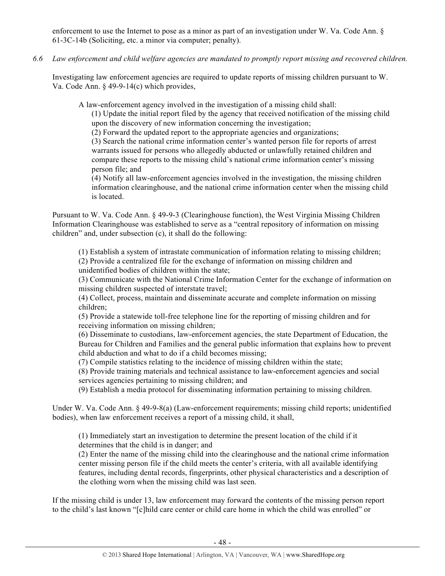enforcement to use the Internet to pose as a minor as part of an investigation under W. Va. Code Ann. § 61-3C-14b (Soliciting, etc. a minor via computer; penalty).

*6.6 Law enforcement and child welfare agencies are mandated to promptly report missing and recovered children.*

Investigating law enforcement agencies are required to update reports of missing children pursuant to W. Va. Code Ann. § 49-9-14(c) which provides,

A law-enforcement agency involved in the investigation of a missing child shall:

(1) Update the initial report filed by the agency that received notification of the missing child upon the discovery of new information concerning the investigation;

(2) Forward the updated report to the appropriate agencies and organizations;

(3) Search the national crime information center's wanted person file for reports of arrest warrants issued for persons who allegedly abducted or unlawfully retained children and compare these reports to the missing child's national crime information center's missing person file; and

(4) Notify all law-enforcement agencies involved in the investigation, the missing children information clearinghouse, and the national crime information center when the missing child is located.

Pursuant to W. Va. Code Ann. § 49-9-3 (Clearinghouse function), the West Virginia Missing Children Information Clearinghouse was established to serve as a "central repository of information on missing children" and, under subsection (c), it shall do the following:

(1) Establish a system of intrastate communication of information relating to missing children; (2) Provide a centralized file for the exchange of information on missing children and unidentified bodies of children within the state;

(3) Communicate with the National Crime Information Center for the exchange of information on missing children suspected of interstate travel;

(4) Collect, process, maintain and disseminate accurate and complete information on missing children;

(5) Provide a statewide toll-free telephone line for the reporting of missing children and for receiving information on missing children;

(6) Disseminate to custodians, law-enforcement agencies, the state Department of Education, the Bureau for Children and Families and the general public information that explains how to prevent child abduction and what to do if a child becomes missing;

(7) Compile statistics relating to the incidence of missing children within the state;

(8) Provide training materials and technical assistance to law-enforcement agencies and social services agencies pertaining to missing children; and

(9) Establish a media protocol for disseminating information pertaining to missing children.

Under W. Va. Code Ann. § 49-9-8(a) (Law-enforcement requirements; missing child reports; unidentified bodies), when law enforcement receives a report of a missing child, it shall,

(1) Immediately start an investigation to determine the present location of the child if it determines that the child is in danger; and

(2) Enter the name of the missing child into the clearinghouse and the national crime information center missing person file if the child meets the center's criteria, with all available identifying features, including dental records, fingerprints, other physical characteristics and a description of the clothing worn when the missing child was last seen.

If the missing child is under 13, law enforcement may forward the contents of the missing person report to the child's last known "[c]hild care center or child care home in which the child was enrolled" or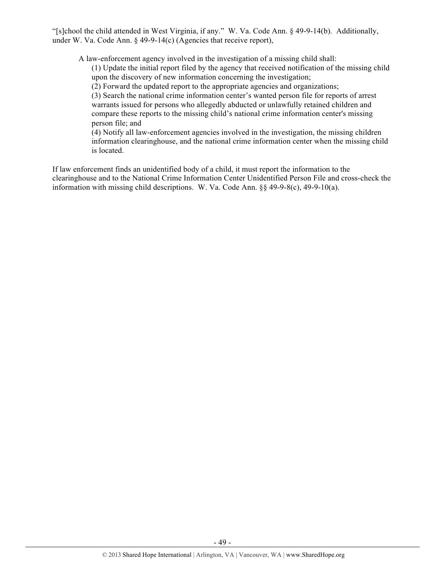"[s]chool the child attended in West Virginia, if any." W. Va. Code Ann. § 49-9-14(b). Additionally, under W. Va. Code Ann.  $\S$  49-9-14(c) (Agencies that receive report),

A law-enforcement agency involved in the investigation of a missing child shall:

(1) Update the initial report filed by the agency that received notification of the missing child upon the discovery of new information concerning the investigation;

(2) Forward the updated report to the appropriate agencies and organizations;

(3) Search the national crime information center's wanted person file for reports of arrest warrants issued for persons who allegedly abducted or unlawfully retained children and compare these reports to the missing child's national crime information center's missing person file; and

(4) Notify all law-enforcement agencies involved in the investigation, the missing children information clearinghouse, and the national crime information center when the missing child is located.

If law enforcement finds an unidentified body of a child, it must report the information to the clearinghouse and to the National Crime Information Center Unidentified Person File and cross-check the information with missing child descriptions. W. Va. Code Ann. §§ 49-9-8(c), 49-9-10(a).